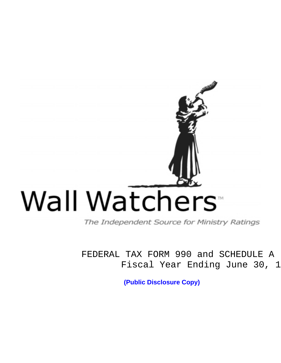# Wall Watchers<sup>®</sup>

The Independent Source for Ministry Ratings

FEDERAL TAX FORM 990 and SCHEDULE A Fiscal Year Ending June 30, 1

**(Public Disclosure Copy)**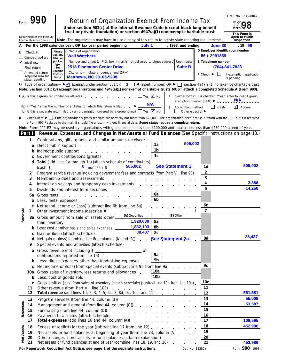|             |                                                                     |                                                        |                                |                                                                                                                                                                                                                                                                                                                                                                                                                                                                                                                                                                                                                                                                                                                                                                                                                                                                                                                                                           |                                                                                                                                                                                                                                                                                           |                                                          |   |                                                                           |                                                                   |                | OMB No. 1545-0047                                                         |
|-------------|---------------------------------------------------------------------|--------------------------------------------------------|--------------------------------|-----------------------------------------------------------------------------------------------------------------------------------------------------------------------------------------------------------------------------------------------------------------------------------------------------------------------------------------------------------------------------------------------------------------------------------------------------------------------------------------------------------------------------------------------------------------------------------------------------------------------------------------------------------------------------------------------------------------------------------------------------------------------------------------------------------------------------------------------------------------------------------------------------------------------------------------------------------|-------------------------------------------------------------------------------------------------------------------------------------------------------------------------------------------------------------------------------------------------------------------------------------------|----------------------------------------------------------|---|---------------------------------------------------------------------------|-------------------------------------------------------------------|----------------|---------------------------------------------------------------------------|
| Form        |                                                                     |                                                        |                                | <b>Return of Organization Exempt From Income Tax</b><br>Under section 501(c) of the Internal Revenue Code (except black lung benefit<br>trust or private foundation) or section 4947(a)(1) nonexempt charitable trust                                                                                                                                                                                                                                                                                                                                                                                                                                                                                                                                                                                                                                                                                                                                     |                                                                                                                                                                                                                                                                                           |                                                          |   |                                                                           |                                                                   |                |                                                                           |
|             |                                                                     | Department of the Treasury<br>Internal Revenue Service |                                | Note: The organization may have to use a copy of this return to satisfy state reporting requirements.                                                                                                                                                                                                                                                                                                                                                                                                                                                                                                                                                                                                                                                                                                                                                                                                                                                     |                                                                                                                                                                                                                                                                                           |                                                          |   |                                                                           |                                                                   |                | This Form is<br>Open to Public<br>Inspection                              |
| A           |                                                                     |                                                        |                                | For the 1998 calendar year, OR tax year period beginning                                                                                                                                                                                                                                                                                                                                                                                                                                                                                                                                                                                                                                                                                                                                                                                                                                                                                                  | July 1                                                                                                                                                                                                                                                                                    |                                                          |   | , 1998, and ending                                                        |                                                                   | <b>June 30</b> | , 19 <mark>99</mark>                                                      |
| В           | Check if:<br>Change of address                                      |                                                        | Please<br>use IRS<br>label or  | C Name of organization<br><b>Wall Watchers</b>                                                                                                                                                                                                                                                                                                                                                                                                                                                                                                                                                                                                                                                                                                                                                                                                                                                                                                            |                                                                                                                                                                                                                                                                                           |                                                          |   |                                                                           | 56 2091339                                                        |                | D Employer identification number                                          |
|             | Initial return<br>Final return                                      |                                                        | print or<br>type.<br>See       | Number and street (or P.O. box if mail is not delivered to street address)<br><b>2518 Plantation Center Drive</b>                                                                                                                                                                                                                                                                                                                                                                                                                                                                                                                                                                                                                                                                                                                                                                                                                                         |                                                                                                                                                                                                                                                                                           |                                                          |   | Room/suite<br><b>Suite B</b>                                              | E Telephone number                                                |                | (704)-841-7828                                                            |
|             | Amended return<br>state reporting)                                  | (required also for                                     | Specific<br>Instruc-<br>tions. | City or town, state or country, and ZIP+4<br><b>Matthews, NC 28105-5298</b>                                                                                                                                                                                                                                                                                                                                                                                                                                                                                                                                                                                                                                                                                                                                                                                                                                                                               |                                                                                                                                                                                                                                                                                           |                                                          |   |                                                                           | $F$ Check $\blacktriangleright$                                   |                | if exemption application<br>is pending                                    |
|             |                                                                     |                                                        |                                | Note: Section 501(c)(3) exempt organizations and 4947(a)(1) nonexempt charitable trusts MUST attach a completed Schedule A (Form 990).                                                                                                                                                                                                                                                                                                                                                                                                                                                                                                                                                                                                                                                                                                                                                                                                                    |                                                                                                                                                                                                                                                                                           |                                                          |   |                                                                           |                                                                   |                |                                                                           |
|             |                                                                     |                                                        |                                | $H(a)$ is this a group return filed for affiliates?                                                                                                                                                                                                                                                                                                                                                                                                                                                                                                                                                                                                                                                                                                                                                                                                                                                                                                       | $\Box$ Yes $\bigvee$ No<br><b>N/A</b>                                                                                                                                                                                                                                                     |                                                          |   | exemption number (GEN) $\blacktriangleright$                              |                                                                   | .              | If either box in H is checked "Yes," enter four-digit group<br><b>N/A</b> |
|             |                                                                     |                                                        |                                | (b) If "Yes," enter the number of affiliates for which this return is filed:<br>(c) Is this a separate return filed by an organization covered by a group ruling? $\Box$ Yes $\Box$ No                                                                                                                                                                                                                                                                                                                                                                                                                                                                                                                                                                                                                                                                                                                                                                    |                                                                                                                                                                                                                                                                                           |                                                          | J | Accounting method:<br>Other (specify) $\blacktriangleright$               |                                                                   | Cash           | $\triangleright$ Accrual                                                  |
| ĸ           |                                                                     |                                                        |                                | Check here $\blacktriangleright$ if the organization's gross receipts are normally not more than \$25,000. The organization need not file a return with the IRS; but if it received<br>a Form 990 Package in the mail, it should file a return without financial data. Some states require a complete return.                                                                                                                                                                                                                                                                                                                                                                                                                                                                                                                                                                                                                                             |                                                                                                                                                                                                                                                                                           |                                                          |   |                                                                           |                                                                   |                |                                                                           |
|             | Part I                                                              |                                                        |                                | Note: Form 990-EZ may be used by organizations with gross receipts less than \$100,000 and total assets less than \$250,000 at end of year.<br>Revenue, Expenses, and Changes in Net Assets or Fund Balances (See Specific Instructions on page 13.)                                                                                                                                                                                                                                                                                                                                                                                                                                                                                                                                                                                                                                                                                                      |                                                                                                                                                                                                                                                                                           |                                                          |   |                                                                           |                                                                   |                |                                                                           |
| venue<br>۵è | 1<br>a<br>b<br>d<br>2<br>3<br>4<br>5<br>6а<br>b<br>c<br>7<br>d<br>9 | Indirect public support<br>Gross rents                 |                                | Contributions, gifts, grants, and similar amounts received:<br>Direct public support.<br>Government contributions (grants)<br>Total (add lines 1a through 1c) (attach schedule of contributors)<br>$\frac{0}{2}$ noncash \$ $\frac{505,002}{2}$<br>Program service revenue including government fees and contracts (from Part VII, line 93)<br>Membership dues and assessments.<br>Interest on savings and temporary cash investments<br>Dividends and interest from securities<br>the contract of the contract of the contract of the con-<br>Less: rental expenses<br>Net rental income or (loss) (subtract line 6b from line 6a)<br>Other investment income (describe ▶<br>8a Gross amount from sale of assets other<br>than inventory<br><b>b</b> Less: cost or other basis and sales expenses.<br>c Gain or (loss) (attach schedule)<br>Net gain or (loss) (combine line 8c, columns (A) and (B))<br>Special events and activities (attach schedule) | and the company of the company of<br><u>.</u><br>the contract of the contract of the contract of<br>and the state of the state of the state of<br>the contract of the contract of the contract of the<br>(A) Securities<br>1,920,630<br>1,882,193<br>38,437                               | 1a<br>1b<br>1 <sub>c</sub><br>6a<br>6b<br>8а<br>8b<br>8c |   | 505.002<br><b>See Statement 1</b><br>(B) Other<br><b>See Statement 2a</b> | 1d<br>$\overline{2}$<br>3<br>4<br>5<br>6C<br>$\overline{7}$<br>8d |                | 505,002<br>3,886<br>14,256<br>38,437                                      |
|             | a<br>10a<br>C<br>11<br>12                                           |                                                        |                                | Gross revenue (not including \$<br>contributions reported on line 1a)<br><b>b</b> Less: direct expenses other than fundraising expenses<br>c Net income or (loss) from special events (subtract line 9b from line 9a)<br>Gross sales of inventory, less returns and allowances<br><b>b</b> Less: cost of goods sold<br>Gross profit or (loss) from sales of inventory (attach schedule) (subtract line 10b from line 10a).<br>Other revenue (from Part VII, line 103)<br>Total revenue (add lines 1d, 2, 3, 4, 5, 6c, 7, 8d, 9c, 10c, and 11)                                                                                                                                                                                                                                                                                                                                                                                                             | والمتعاون والمتعاون والمتعاون والمتعاون والمتعاون والمتعاون                                                                                                                                                                                                                               | 9a<br>9b<br>10a<br>10 <sub>b</sub>                       |   |                                                                           | 9с<br>10с<br>11<br>12                                             |                | 561,581                                                                   |
| Expenses    | 13<br>14<br>15<br>16<br>17                                          |                                                        |                                | Program services (from line 44, column (B))<br>Management and general (from line 44, column (C))<br>Fundraising (from line 44, column (D))<br>Payments to affiliates (attach schedule)<br>Total expenses (add lines 16 and 44, column $(A)$ ) $\ldots$ $\ldots$ $\ldots$ $\ldots$ $\ldots$                                                                                                                                                                                                                                                                                                                                                                                                                                                                                                                                                                                                                                                                | a construction of the construction of the construction of the construction of the construction of the construction of the construction of the construction of the construction of the construction of the construction of the<br>the contract of the contract of the contract of the con- |                                                          |   |                                                                           | 13<br>14<br>15<br>16<br>17                                        |                | 55,008<br>53,587<br>108,595                                               |
| Net Assets  | 18<br>19<br>20<br>21                                                |                                                        |                                | Excess or (deficit) for the year (subtract line 17 from line 12)<br>Net assets or fund balances at beginning of year (from line 73, column (A))<br>Other changes in net assets or fund balances (attach explanation)<br>Not assots or fund balances at end of year (combine lines 18, 19, and 20)                                                                                                                                                                                                                                                                                                                                                                                                                                                                                                                                                                                                                                                         |                                                                                                                                                                                                                                                                                           |                                                          |   |                                                                           | 18<br>19<br>20<br>21                                              |                | 452,986<br><b>ARD ORE</b>                                                 |

**For Paperwork Reduction Act Notice, see page 1 of the separate instructions.** Cat. No. 11282Y Form 990 (1998)

**21** Net assets or fund balances at end of year (combine lines 18, 19, and 20) **21 21 21** 

**452,986**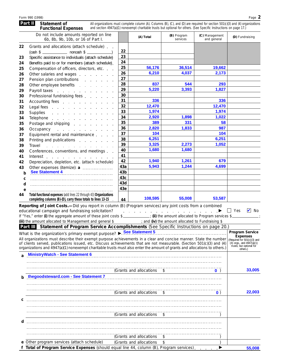|    | Do not include amounts reported on line<br>6b, 8b, 9b, 10b, or 16 of Part I.                                                                                                                                                   |                 | (A) Total | (B) Program<br>services | (C) Management<br>and general | (D) Fundraising |
|----|--------------------------------------------------------------------------------------------------------------------------------------------------------------------------------------------------------------------------------|-----------------|-----------|-------------------------|-------------------------------|-----------------|
| 22 | Grants and allocations (attach schedule).                                                                                                                                                                                      |                 |           |                         |                               |                 |
|    | $(cash $ \_$ noncash $$ \_$                                                                                                                                                                                                    | 22              |           |                         |                               |                 |
| 23 | Specific assistance to individuals (attach schedule)                                                                                                                                                                           | 23              |           |                         |                               |                 |
| 24 | Benefits paid to or for members (attach schedule).                                                                                                                                                                             | 24              |           |                         |                               |                 |
| 25 | Compensation of officers, directors, etc.                                                                                                                                                                                      | 25              | 56,176    | 36,514                  | 19,662                        |                 |
| 26 | Other salaries and wages                                                                                                                                                                                                       | 26              | 6,210     | 4,037                   | 2,173                         |                 |
| 27 | Pension plan contributions                                                                                                                                                                                                     | 27              |           |                         |                               |                 |
| 28 | Other employee benefits explorer and the control of the control of the control of the control of the control o                                                                                                                 | 28              | 837       | 544                     | 293                           |                 |
| 29 | Payroll taxes                                                                                                                                                                                                                  | 29              | 5.220     | 3.393                   | 1.827                         |                 |
| 30 | Professional fundraising fees                                                                                                                                                                                                  | 30              |           |                         |                               |                 |
| 31 | Accounting fees                                                                                                                                                                                                                | 31              | 336       |                         | 336                           |                 |
| 32 | Legal fees                                                                                                                                                                                                                     | 32              | 12,470    |                         | 12,470                        |                 |
| 33 | Supplies                                                                                                                                                                                                                       | 33              | 1,974     |                         | 1,974                         |                 |
| 34 | Telephone                                                                                                                                                                                                                      | 34              | 2,920     | 1,898                   | 1,022                         |                 |
| 35 | Postage and shipping research and research and shipping                                                                                                                                                                        | 35              | 389       | 331                     | 58                            |                 |
| 36 | Occupancy experience and the contract of the contract of the contract of the contract of the contract of the contract of the contract of the contract of the contract of the contract of the contract of the contract of the c | 36              | 2,820     | 1,833                   | 987                           |                 |
| 37 | Equipment rental and maintenance                                                                                                                                                                                               | 37              | 104       |                         | 104                           |                 |
| 38 | Printing and publications extended and publications                                                                                                                                                                            | 38              | 6,251     |                         | 6,251                         |                 |
| 39 | Travel                                                                                                                                                                                                                         | 39              | 3,325     | 2,273                   | 1,052                         |                 |
| 40 | Conferences, conventions, and meetings                                                                                                                                                                                         | 40              | 1,680     | 1,680                   |                               |                 |
| 41 | Interest                                                                                                                                                                                                                       | 41              |           |                         |                               |                 |
| 42 | Depreciation, depletion, etc. (attach schedule)                                                                                                                                                                                | 42              | 1,940     | 1,261                   | 679                           |                 |
| 43 | Other expenses (itemize): a                                                                                                                                                                                                    | 43a             | 5,943     | 1,244                   | 4,699                         |                 |
| b  | See Statement 4                                                                                                                                                                                                                | 43 <sub>b</sub> |           |                         |                               |                 |
| c  |                                                                                                                                                                                                                                | 43c             |           |                         |                               |                 |
| d  |                                                                                                                                                                                                                                | 43d             |           |                         |                               |                 |
| e  |                                                                                                                                                                                                                                | 43e             |           |                         |                               |                 |
| 44 | Total functional expenses (add lines 22 through 43) Organizations<br>completing columns (B)-(D), carry these totals to lines 13-15                                                                                             | 44              | 108,595   | 55,008                  | 53,587                        |                 |

| educational campaign and fundraising solicitation?               |  |                                                               |  |  |  |  | II Yes | $\blacksquare$ No |
|------------------------------------------------------------------|--|---------------------------------------------------------------|--|--|--|--|--------|-------------------|
| If "Yes," enter (i) the aggregate amount of these joint costs \$ |  | $\therefore$ (ii) the amount allocated to Program services \$ |  |  |  |  |        |                   |
| (iii) the amount allocated to Management and general \$          |  | ; and (iv) the amount allocated to Fundraising \$             |  |  |  |  |        |                   |
|                                                                  |  |                                                               |  |  |  |  |        |                   |

|              | lii) the amount allocated to Management and general \$<br>, and (b) the amount allocated to Fundraising $\phi$                                                                                                                                                                                                                                                                                                                                |                                                                                                                                                   |
|--------------|-----------------------------------------------------------------------------------------------------------------------------------------------------------------------------------------------------------------------------------------------------------------------------------------------------------------------------------------------------------------------------------------------------------------------------------------------|---------------------------------------------------------------------------------------------------------------------------------------------------|
|              | <b>Part III</b> Statement of Program Service Accomplishments (See Specific Instructions on page 20.)                                                                                                                                                                                                                                                                                                                                          |                                                                                                                                                   |
|              | What is the organization's primary exempt purpose? See Statement 5<br>All organizations must describe their exempt purpose achievements in a clear and concise manner. State the number<br>of clients served, publications issued, etc. Discuss achievements that are not measurable. (Section 501(c)(3) and (4)<br>organizations and 4947(a)(1) nonexempt charitable trusts must also enter the amount of grants and allocations to others.) | <b>Program Service</b><br><b>Expenses</b><br>(Required for 501(c)(3) and<br>$(4)$ orgs., and $4947(a)(1)$<br>trusts; but optional for<br>others.) |
| <sub>2</sub> | <b>MinistryWatch - See Statement 6</b>                                                                                                                                                                                                                                                                                                                                                                                                        |                                                                                                                                                   |
|              | (Grants and allocations \$<br>$\bullet$ )                                                                                                                                                                                                                                                                                                                                                                                                     | 33,005                                                                                                                                            |
|              | thegoodsteward.com - See Statement 7                                                                                                                                                                                                                                                                                                                                                                                                          |                                                                                                                                                   |
|              | (Grants and allocations)<br>$^{\circ}$<br>$\mathbf{0}$ )                                                                                                                                                                                                                                                                                                                                                                                      | 22,003                                                                                                                                            |
| d            | (Grants and allocations \$                                                                                                                                                                                                                                                                                                                                                                                                                    |                                                                                                                                                   |
|              | (Grants and allocations<br>\$<br>e Other program services (attach schedule)<br>(Grants and allocations                                                                                                                                                                                                                                                                                                                                        |                                                                                                                                                   |
|              |                                                                                                                                                                                                                                                                                                                                                                                                                                               |                                                                                                                                                   |
|              | Total of Program Service Expenses (should equal line 44, column (B), Program services).                                                                                                                                                                                                                                                                                                                                                       | 55,008                                                                                                                                            |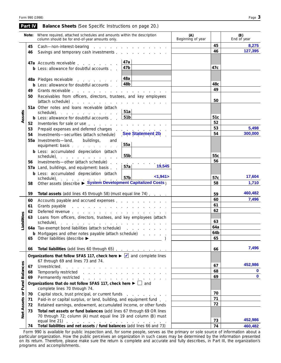|                      | Part IV  | <b>Balance Sheets</b> (See Specific Instructions on page 20.)                                                                                                                                                                                                                  |                                                                     |                                   |                  |                    |
|----------------------|----------|--------------------------------------------------------------------------------------------------------------------------------------------------------------------------------------------------------------------------------------------------------------------------------|---------------------------------------------------------------------|-----------------------------------|------------------|--------------------|
|                      | Note:    | Where required, attached schedules and amounts within the description<br>column should be for end-of-year amounts only.                                                                                                                                                        |                                                                     | (A)<br>Beginning of year          |                  | (B)<br>End of year |
|                      | 45       | Cash-non-interest-bearing                                                                                                                                                                                                                                                      | the contract of the contract of the contract of                     |                                   | 45               | 8,275              |
|                      | 46       | Savings and temporary cash investments experiences and temporary cash investments                                                                                                                                                                                              |                                                                     |                                   | 46               | 127,395            |
|                      |          | 47a Accounts receivable                                                                                                                                                                                                                                                        | 47a                                                                 |                                   |                  |                    |
|                      |          | <b>b</b> Less: allowance for doubtful accounts.                                                                                                                                                                                                                                | 47b                                                                 |                                   | 47c              |                    |
|                      |          |                                                                                                                                                                                                                                                                                | 48a                                                                 |                                   |                  |                    |
|                      |          | 48a Pledges receivable<br><b>b</b> Less: allowance for doubtful accounts.                                                                                                                                                                                                      | 48b                                                                 |                                   | 48c              |                    |
|                      | 49       |                                                                                                                                                                                                                                                                                |                                                                     |                                   | 49               |                    |
|                      | 50       | Receivables from officers, directors, trustees, and key employees                                                                                                                                                                                                              |                                                                     |                                   |                  |                    |
|                      |          |                                                                                                                                                                                                                                                                                |                                                                     |                                   | 50               |                    |
|                      |          | 51a Other notes and loans receivable (attach<br>schedule) expansion and a schedule) and a series are a series and a series and a series are a series and a series and a series of the series of the series of the series of the series of the series of the series of the seri | 51a                                                                 |                                   |                  |                    |
| Assets               |          | <b>b</b> Less: allowance for doubtful accounts                                                                                                                                                                                                                                 | 51b                                                                 |                                   | 51 <sub>c</sub>  |                    |
|                      | 52       | Inventories for sale or use entering the state of the state of the state of the state of the state of the state of the state of the state of the state of the state of the state of the state of the state of the state of the                                                 |                                                                     |                                   | 52               |                    |
|                      | 53       | Prepaid expenses and deferred charges entitled as a set of the set of the set of the set of the set of the set of the set of the set of the set of the set of the set of the set of the set of the set of the set of the set o                                                 |                                                                     |                                   | 53               | 5,498              |
|                      | 54       | Investments-securities (attach schedule)                                                                                                                                                                                                                                       | <b>See Statement 2b</b>                                             |                                   | 54               | 300,000            |
|                      |          | 55a Investments-land, buildings,<br>and<br>equipment: basis                                                                                                                                                                                                                    | 55a                                                                 |                                   |                  |                    |
|                      |          | <b>b</b> Less: accumulated depreciation (attach                                                                                                                                                                                                                                |                                                                     |                                   |                  |                    |
|                      |          | schedule) and a series and a series and a series and a series and a series and a series of the series of the series of the series of the series of the series of the series of the series of the series of the series of the s                                                 | 55 <sub>b</sub>                                                     |                                   | 55c              |                    |
|                      | 56       | Investments-other (attach schedule).                                                                                                                                                                                                                                           | and a straightful contract and straight<br>19,545                   |                                   | 56               |                    |
|                      |          | 57a Land, buildings, and equipment: basis                                                                                                                                                                                                                                      | 57a                                                                 |                                   |                  |                    |
|                      |          | <b>b</b> Less: accumulated depreciation (attach                                                                                                                                                                                                                                | <1,941><br>57 <sub>b</sub>                                          |                                   | 57c              | 17,604             |
|                      | 58       | schedule).<br>Other assets (describe ► System Development Capitalized Costs)                                                                                                                                                                                                   |                                                                     |                                   | 58               | 1,710              |
|                      |          |                                                                                                                                                                                                                                                                                |                                                                     |                                   |                  |                    |
|                      | 59       | Total assets (add lines 45 through 58) (must equal line 74)                                                                                                                                                                                                                    |                                                                     | 59<br>60                          | 460,482<br>7,496 |                    |
|                      | 60       |                                                                                                                                                                                                                                                                                |                                                                     |                                   | 61               |                    |
|                      | 61<br>62 |                                                                                                                                                                                                                                                                                |                                                                     | and the control of the control of | 62               |                    |
|                      | 63       | Deferred revenue et al., and a series are a series and the series of the series of the series of the series of<br>Loans from officers, directors, trustees, and key employees (attach                                                                                          |                                                                     |                                   |                  |                    |
| <b>Liabilities</b>   |          | schedule).<br>de la construcción de la construcción de la construcción de la construcción de la construcción de la construcción de la construcción de la construcción de la construcción de la construcción de la construcción de la constru                                   |                                                                     |                                   | 63               |                    |
|                      |          | 64a Tax-exempt bond liabilities (attach schedule)                                                                                                                                                                                                                              | the contract of the contract of the con-                            |                                   | 64a              |                    |
|                      |          | <b>b</b> Mortgages and other notes payable (attach schedule)                                                                                                                                                                                                                   |                                                                     |                                   | 64b              |                    |
|                      | 65       | Other liabilities (describe ▶ _ ___                                                                                                                                                                                                                                            | <u> 1989 - Johann Stein, mars an deus Amerikaansk kommunister (</u> |                                   | 65               |                    |
|                      | 66       | Total liabilities (add lines 60 through 65)                                                                                                                                                                                                                                    |                                                                     |                                   | 66               | 7,496              |
|                      |          | Organizations that follow SFAS 117, check here ► Ø and complete lines                                                                                                                                                                                                          |                                                                     |                                   |                  |                    |
|                      |          | 67 through 69 and lines 73 and 74.                                                                                                                                                                                                                                             |                                                                     |                                   |                  |                    |
|                      | 67       |                                                                                                                                                                                                                                                                                |                                                                     |                                   | 67               | 452,986            |
|                      | 68       | Temporarily restricted                                                                                                                                                                                                                                                         |                                                                     |                                   | 68<br>69         | 0<br>$\mathbf{0}$  |
|                      | 69       | Permanently restricted                                                                                                                                                                                                                                                         |                                                                     |                                   |                  |                    |
| <b>Fund Balances</b> |          | Organizations that do not follow SFAS 117, check here $\blacktriangleright \Box$ and<br>complete lines 70 through 74.                                                                                                                                                          |                                                                     |                                   |                  |                    |
| $\overline{\sigma}$  | 70       | Capital stock, trust principal, or current funds                                                                                                                                                                                                                               |                                                                     |                                   | 70               |                    |
|                      | 71       | Paid-in or capital surplus, or land, building, and equipment fund.                                                                                                                                                                                                             |                                                                     |                                   | 71               |                    |
|                      | 72       | Retained earnings, endowment, accumulated income, or other funds                                                                                                                                                                                                               |                                                                     |                                   | 72               |                    |
| <b>Net Assets</b>    | 73       | Total net assets or fund balances (add lines 67 through 69 OR lines                                                                                                                                                                                                            |                                                                     |                                   |                  |                    |
|                      |          | 70 through 72; column (A) must equal line 19 and column (B) must                                                                                                                                                                                                               |                                                                     |                                   |                  | 452,986            |
|                      | 74       | Total liabilities and net assets / fund balances (add lines 66 and 73)                                                                                                                                                                                                         |                                                                     |                                   | 73<br>74         | 460,482            |
|                      |          |                                                                                                                                                                                                                                                                                |                                                                     |                                   |                  |                    |

Form 990 is available for public inspection and, for some people, serves as the primary or sole source of information about a particular organization. How the public perceives an organization in such cases may be determined by the information presented on its return. Therefore, please make sure the return is complete and accurate and fully describes, in Part III, the organization's programs and accomplishments.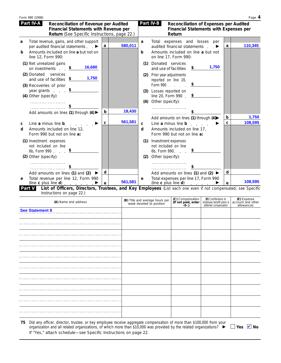|        | Form 990 (1998)                                                                                                                                                                                          |                 |   |         |            |                                                                                                                                                                                     |                                                                                                                                                                  |                                                                           |        | Page 4                                         |
|--------|----------------------------------------------------------------------------------------------------------------------------------------------------------------------------------------------------------|-----------------|---|---------|------------|-------------------------------------------------------------------------------------------------------------------------------------------------------------------------------------|------------------------------------------------------------------------------------------------------------------------------------------------------------------|---------------------------------------------------------------------------|--------|------------------------------------------------|
|        | Part IV-A<br>Reconciliation of Revenue per Audited<br>Financial Statements with Revenue per<br>Return (See Specific Instructions, page 22.)                                                              |                 |   |         |            | Part IV-B                                                                                                                                                                           | Reconciliation of Expenses per Audited<br><b>Financial Statements with Expenses per</b><br>Return                                                                |                                                                           |        |                                                |
| a<br>b | Total revenue, gains, and other support<br>per audited financial statements $\blacktriangleright$<br>Amounts included on line a but not on<br>line 12, Form 990:                                         |                 | a | 580,011 | a<br>b     |                                                                                                                                                                                     | Total expenses and losses per<br>audited financial statements $\qquad \qquad \blacktriangleright$<br>Amounts included on line a but not<br>on line 17, Form 990: |                                                                           | a      | 110,345                                        |
|        | (1) Net unrealized gains<br>on investments $\frac{\$}{}$<br>(2) Donated services<br>and use of facilities $$$<br>(3) Recoveries of prior<br>year grants $\frac{\$}{}$<br>(4) Other (specify):<br><u></u> | 16,680<br>1,750 |   |         | (2)        | (1) Donated services<br>and use of facilities<br>Prior year adjustments<br>reported on line 20,<br>Form 990<br>(3) Losses reported on<br>line 20, Form 990.<br>(4) Other (specify): | \$<br>$\boldsymbol{\mathsf{s}}$<br>$\overline{\mathbf{z}}$                                                                                                       | 1,750                                                                     |        |                                                |
|        | Add amounts on lines (1) through (4) $\blacktriangleright$                                                                                                                                               |                 | b | 18,430  |            |                                                                                                                                                                                     |                                                                                                                                                                  |                                                                           |        |                                                |
| С<br>d | Line a minus line b.<br>Amounts included on line 12,<br>Form 990 but not on line a:                                                                                                                      |                 | c | 561,581 | C<br>d     |                                                                                                                                                                                     | Add amounts on lines (1) through (4)<br>Line a minus line $\mathbf b$<br>Amounts included on line 17,<br>Form 990 but not on line a:                             |                                                                           | b<br>C | 1,750<br>108,595                               |
|        | (1) Investment expenses<br>not included on line<br>6b, Form 990 $\frac{\$}{2}$<br>(2) Other (specify):                                                                                                   |                 |   |         | (1)<br>(2) | Investment expenses<br>not included on line<br>Other (specify):                                                                                                                     | 6b, Form 990. $\frac{\$}{2}$                                                                                                                                     |                                                                           |        |                                                |
|        | Add amounts on lines (1) and (2) $\blacktriangleright$                                                                                                                                                   |                 | d |         |            |                                                                                                                                                                                     | Add amounts on lines (1) and (2) $\blacktriangleright$                                                                                                           |                                                                           | d      |                                                |
| е      | Total revenue per line 12, Form 990<br>(line c plus line d) $\qquad \qquad$                                                                                                                              |                 | e | 561,581 | e          |                                                                                                                                                                                     | Total expenses per line 17, Form 990<br>(line c plus line d) $\qquad \qquad \blacktriangleright$                                                                 |                                                                           | e      | 108,595                                        |
|        | List of Officers, Directors, Trustees, and Key Employees (List each one even if not compensated; see Specific<br>Part V<br>Instructions on page 22.)                                                     |                 |   |         |            |                                                                                                                                                                                     |                                                                                                                                                                  |                                                                           |        |                                                |
|        | (A) Name and address                                                                                                                                                                                     |                 |   |         |            | (B) Title and average hours per<br>week devoted to position                                                                                                                         | (C) Compensation<br>(If not paid, enter<br>-0-.)                                                                                                                 | (D) Contributions to<br>employee benefit plans &<br>deferred compensation |        | (E) Expense<br>account and other<br>allowances |
|        | <b>See Statement 8</b>                                                                                                                                                                                   |                 |   |         |            |                                                                                                                                                                                     |                                                                                                                                                                  |                                                                           |        |                                                |
|        |                                                                                                                                                                                                          |                 |   |         |            |                                                                                                                                                                                     |                                                                                                                                                                  |                                                                           |        |                                                |

Did any officer, director, trustee, or key employee receive aggregate compensation of more than \$100,000 from your organization and all related organizations, of which more than \$10,000 was provided by the related organizations? If "Yes," attach schedule—see Specific Instructions on page 22. **75**

Yes <mark>✔</mark> No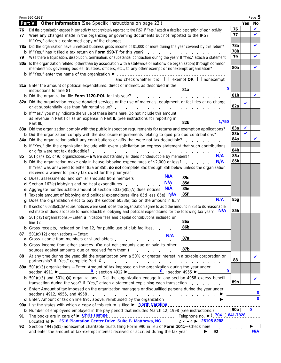|    | Form 990 (1998)                                                                                                                                                                                                                                       |                        |            | Page 5      |
|----|-------------------------------------------------------------------------------------------------------------------------------------------------------------------------------------------------------------------------------------------------------|------------------------|------------|-------------|
|    | Other Information (See Specific Instructions on page 23.)<br>Part VI                                                                                                                                                                                  |                        | <b>Yes</b> | No          |
| 76 | Did the organization engage in any activity not previously reported to the IRS? If "Yes," attach a detailed description of each activity                                                                                                              | 76                     |            | V           |
| 77 | Were any changes made in the organizing or governing documents but not reported to the IRS?                                                                                                                                                           | 77                     |            | $\mathbf v$ |
|    | If "Yes," attach a conformed copy of the changes.                                                                                                                                                                                                     |                        |            |             |
|    | 78a Did the organization have unrelated business gross income of \$1,000 or more during the year covered by this return?                                                                                                                              | 78a<br>78b             |            | V           |
|    |                                                                                                                                                                                                                                                       | 79                     |            | V           |
| 79 | Was there a liquidation, dissolution, termination, or substantial contraction during the year? If "Yes," attach a statement<br>80a Is the organization related (other than by association with a statewide or nationwide organization) through common |                        |            |             |
|    | membership, governing bodies, trustees, officers, etc., to any other exempt or nonexempt organization?                                                                                                                                                | 80a                    |            | ✔           |
|    |                                                                                                                                                                                                                                                       |                        |            |             |
|    | $\ldots$ $\ldots$ $\ldots$ $\ldots$ $\ldots$ $\ldots$ $\ldots$ $\ldots$ and check whether it is $\Box$ exempt OR $\Box$ nonexempt.                                                                                                                    |                        |            |             |
|    | 81a Enter the amount of political expenditures, direct or indirect, as described in the                                                                                                                                                               |                        |            |             |
|    | $\mathbf 0$<br>∣81a                                                                                                                                                                                                                                   |                        |            |             |
|    |                                                                                                                                                                                                                                                       | 81b                    |            | ✔           |
|    | 82a Did the organization receive donated services or the use of materials, equipment, or facilities at no charge                                                                                                                                      | 82a                    | V          |             |
|    | b If "Yes," you may indicate the value of these items here. Do not include this amount                                                                                                                                                                |                        |            |             |
|    | as revenue in Part I or as an expense in Part II. (See instructions for reporting in<br>1,750<br>82b<br>Part III.).                                                                                                                                   |                        |            |             |
|    | <u>.</u><br>83a Did the organization comply with the public inspection requirements for returns and exemption applications?                                                                                                                           | 83a                    | V          |             |
|    | <b>b</b> Did the organization comply with the disclosure requirements relating to quid pro quo contributions?                                                                                                                                         | 83b                    | V          |             |
|    | 84a Did the organization solicit any contributions or gifts that were not tax deductible?                                                                                                                                                             | 84a                    |            |             |
|    | <b>b</b> If "Yes," did the organization include with every solicitation an express statement that such contributions                                                                                                                                  |                        |            |             |
|    |                                                                                                                                                                                                                                                       | 84b                    |            |             |
| 85 | 501(c)(4), (5), or (6) organizations —a Were substantially all dues nondeductible by members?                                                                                                                                                         | 85a<br>85 <sub>b</sub> |            |             |
|    | <b>b</b> Did the organization make only in-house lobbying expenditures of \$2,000 or less?<br>If "Yes" was answered to either 85a or 85b, do not complete 85c through 85h below unless the organization                                               |                        |            |             |
|    | received a waiver for proxy tax owed for the prior year.                                                                                                                                                                                              |                        |            |             |
|    | <b>N/A</b><br>85c<br>c Dues, assessments, and similar amounts from members                                                                                                                                                                            |                        |            |             |
|    | N/A<br>85d<br>d Section 162(e) lobbying and political expenditures example and section 162(e) lobbying and political expenditures                                                                                                                     |                        |            |             |
|    | <b>85e</b><br>e Aggregate nondeductible amount of section 6033(e)(1)(A) dues notices N/A                                                                                                                                                              |                        |            |             |
|    | 85f<br>f Taxable amount of lobbying and political expenditures (line 85d less 85e) N/A                                                                                                                                                                |                        |            |             |
| a  | Does the organization elect to pay the section 6033(e) tax on the amount in 85f?                                                                                                                                                                      | 85g                    |            |             |
|    | h If section 6033(e)(1)(A) dues notices were sent, does the organization agree to add the amount in 85f to its reasonable<br>estimate of dues allocable to nondeductible lobbying and political expenditures for the following tax year? N/A          | 85h                    |            |             |
| 86 | 501(c)(7) organizations.-Enter: a Initiation fees and capital contributions included on<br> 86a                                                                                                                                                       |                        |            |             |
|    | 86b<br><b>b</b> Gross receipts, included on line 12, for public use of club facilities.                                                                                                                                                               |                        |            |             |
| 87 | 501(c)(12) organizations.-Enter:                                                                                                                                                                                                                      |                        |            |             |
|    | <b>N/A</b><br>87a<br>a Gross income from members or shareholders entitled as a series of the contract of the Gross and Gross and Gr                                                                                                                   |                        |            |             |
|    | b Gross income from other sources. (Do not net amounts due or paid to other<br>87b<br>sources against amounts due or received from them.)                                                                                                             |                        |            |             |
| 88 | At any time during the year, did the organization own a 50% or greater interest in a taxable corporation or                                                                                                                                           | 88                     |            | V           |
|    | 89a 501(c)(3) organizations.—Enter: Amount of tax imposed on the organization during the year under:<br>$\mathbf 0$                                                                                                                                   |                        |            |             |
|    | <b>b</b> $501(c)(3)$ and $501(c)(4)$ organizations. - Did the organization engage in any section 4958 excess benefit<br>transaction during the year? If "Yes," attach a statement explaining each transaction<br>and the company of the company       | 89b                    |            | V           |
|    | c Enter: Amount of tax imposed on the organization managers or disqualified persons during the year under                                                                                                                                             |                        |            | $\mathbf 0$ |
|    | d Enter: Amount of tax on line 89c, above, reimbursed by the organization. ▶                                                                                                                                                                          |                        |            | $\mathbf 0$ |
|    | 90a List the states with which a copy of this return is filed <b>b</b> North Carolina <b>Commission</b> List the states with which a copy of this return is filed <b>b</b> North Carolina <b>Commission</b>                                           |                        |            |             |
|    | <b>b</b> Number of employees employed in the pay period that includes March 12, 1998 (See instructions.)<br>The books are in care of $\triangleright$ Chris Hempe <b>Example 20</b> Telephone no. $\triangleright$ (704) 841-7828                     | ∣90b I                 |            | $\mathbf 0$ |
| 91 | Located at <b>&gt;</b> 2518 Plantation Center Drive Suite B Matthews, NC  ZIP + 4 > 28105-5298                                                                                                                                                        |                        |            |             |
| 92 | Section 4947(a)(1) nonexempt charitable trusts filing Form 990 in lieu of Form 1041—Check here $\ldots$                                                                                                                                               |                        |            |             |
|    | and enter the amount of tax-exempt interest received or accrued during the tax year $\therefore$ $\blacktriangleright$   92                                                                                                                           |                        |            | <b>N/A</b>  |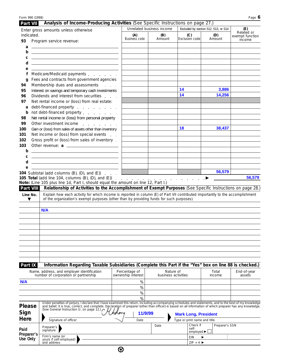| Form 990 (1998)            |                                                                                                                                                                                                                                                                                                                                                                                                                                                                                                        |                    |                                   |                                         |                                                              |                                             | Page $6$                             |
|----------------------------|--------------------------------------------------------------------------------------------------------------------------------------------------------------------------------------------------------------------------------------------------------------------------------------------------------------------------------------------------------------------------------------------------------------------------------------------------------------------------------------------------------|--------------------|-----------------------------------|-----------------------------------------|--------------------------------------------------------------|---------------------------------------------|--------------------------------------|
| Part VII                   | Analysis of Income-Producing Activities (See Specific Instructions on page 27.)                                                                                                                                                                                                                                                                                                                                                                                                                        |                    |                                   |                                         |                                                              |                                             |                                      |
| indicated.                 | Enter gross amounts unless otherwise                                                                                                                                                                                                                                                                                                                                                                                                                                                                   |                    | (A)                               | Unrelated business income<br>(B)        | (C)                                                          | Excluded by section 512, 513, or 514<br>(D) | (E)<br>Related or<br>exempt function |
| 93                         | Program service revenue:                                                                                                                                                                                                                                                                                                                                                                                                                                                                               |                    | Business code                     | Amount                                  | Exclusion code                                               | Amount                                      | income                               |
|                            | $a \fbox{$                                                                                                                                                                                                                                                                                                                                                                                                                                                                                             |                    |                                   |                                         |                                                              |                                             |                                      |
| b                          | <u> 1980 - Johann Barn, fransk politik amerikansk politik (</u>                                                                                                                                                                                                                                                                                                                                                                                                                                        |                    |                                   |                                         |                                                              |                                             |                                      |
| C                          | <u> 1989 - Andrea Stadt, fransk politik (d. 1989)</u>                                                                                                                                                                                                                                                                                                                                                                                                                                                  |                    |                                   |                                         |                                                              |                                             |                                      |
| d                          | <u>state and the state of the state of the state of the state of the state of the state of the state of the state of the state of the state of the state of the state of the state of the state of the state of the state of the</u>                                                                                                                                                                                                                                                                   |                    |                                   |                                         |                                                              |                                             |                                      |
| е<br>f                     | Medicare/Medicaid payments                                                                                                                                                                                                                                                                                                                                                                                                                                                                             |                    |                                   |                                         |                                                              |                                             |                                      |
| q                          | Fees and contracts from government agencies                                                                                                                                                                                                                                                                                                                                                                                                                                                            |                    |                                   |                                         |                                                              |                                             |                                      |
| 94                         | Membership dues and assessments<br>$\sim 10^{11}$ km $^{-1}$                                                                                                                                                                                                                                                                                                                                                                                                                                           |                    |                                   |                                         |                                                              |                                             |                                      |
| 95                         | Interest on savings and temporary cash investments                                                                                                                                                                                                                                                                                                                                                                                                                                                     |                    |                                   |                                         | 14                                                           | 3,886                                       |                                      |
| 96                         | Dividends and interest from securities                                                                                                                                                                                                                                                                                                                                                                                                                                                                 |                    |                                   |                                         | 14                                                           | 14,256                                      |                                      |
| 97                         | Net rental income or (loss) from real estate:                                                                                                                                                                                                                                                                                                                                                                                                                                                          |                    |                                   |                                         |                                                              |                                             |                                      |
| a                          | debt-financed property                                                                                                                                                                                                                                                                                                                                                                                                                                                                                 |                    |                                   |                                         |                                                              |                                             |                                      |
| b<br>98                    | not debt-financed property<br>Net rental income or (loss) from personal property                                                                                                                                                                                                                                                                                                                                                                                                                       |                    |                                   |                                         |                                                              |                                             |                                      |
| 99                         | Other investment income                                                                                                                                                                                                                                                                                                                                                                                                                                                                                |                    |                                   |                                         |                                                              |                                             |                                      |
| 100                        | Gain or (loss) from sales of assets other than inventory                                                                                                                                                                                                                                                                                                                                                                                                                                               |                    |                                   |                                         | 18                                                           | 38,437                                      |                                      |
| 101                        | Net income or (loss) from special events                                                                                                                                                                                                                                                                                                                                                                                                                                                               |                    |                                   |                                         |                                                              |                                             |                                      |
| 102                        | Gross profit or (loss) from sales of inventory.                                                                                                                                                                                                                                                                                                                                                                                                                                                        |                    |                                   |                                         |                                                              |                                             |                                      |
| 103                        | Other revenue: a                                                                                                                                                                                                                                                                                                                                                                                                                                                                                       |                    |                                   |                                         |                                                              |                                             |                                      |
| b                          | the control of the control of the control of the control of the control of                                                                                                                                                                                                                                                                                                                                                                                                                             |                    |                                   |                                         |                                                              |                                             |                                      |
| С                          | <u> 1989 - Johann Harry Harry Harry Harry Harry Harry Harry Harry Harry Harry Harry Harry Harry Harry Harry Harry</u>                                                                                                                                                                                                                                                                                                                                                                                  |                    |                                   |                                         |                                                              |                                             |                                      |
| d                          | <u> 1989 - Johann Harry Harry Harry Harry Harry Harry Harry Harry Harry Harry Harry Harry Harry Harry Harry Harry</u><br>$e \qquad \qquad$                                                                                                                                                                                                                                                                                                                                                             |                    |                                   |                                         |                                                              |                                             |                                      |
|                            | <b>104</b> Subtotal (add columns $(B)$ , $(D)$ , and $(E)$ ) $\ldots$                                                                                                                                                                                                                                                                                                                                                                                                                                  |                    | the control of the control of the | <u> 1980 - Johann Barbara, martxa a</u> |                                                              | 56,579                                      |                                      |
| Part VIII<br>Line No.<br>▼ | <b>105 Total</b> (add line 104, columns $(B)$ , $(D)$ , and $(E)$ )<br>Note: (Line 105 plus line 1d, Part I, should equal the amount on line 12, Part I.)<br>Relationship of Activities to the Accomplishment of Exempt Purposes (See Specific Instructions on page 28.)<br>Explain how each activity for which income is reported in column (E) of Part VII contributed importantly to the accomplishment<br>of the organization's exempt purposes (other than by providing funds for such purposes). |                    |                                   |                                         | $\mathbb{R}$ . The set of the set of $\blacktriangleright$   |                                             | 56,579                               |
|                            |                                                                                                                                                                                                                                                                                                                                                                                                                                                                                                        |                    |                                   |                                         |                                                              |                                             |                                      |
|                            | N/A                                                                                                                                                                                                                                                                                                                                                                                                                                                                                                    |                    |                                   |                                         |                                                              |                                             |                                      |
|                            |                                                                                                                                                                                                                                                                                                                                                                                                                                                                                                        |                    |                                   |                                         |                                                              |                                             |                                      |
|                            |                                                                                                                                                                                                                                                                                                                                                                                                                                                                                                        |                    |                                   |                                         |                                                              |                                             |                                      |
|                            |                                                                                                                                                                                                                                                                                                                                                                                                                                                                                                        |                    |                                   |                                         |                                                              |                                             |                                      |
|                            |                                                                                                                                                                                                                                                                                                                                                                                                                                                                                                        |                    |                                   |                                         |                                                              |                                             |                                      |
|                            |                                                                                                                                                                                                                                                                                                                                                                                                                                                                                                        |                    |                                   |                                         |                                                              |                                             |                                      |
|                            |                                                                                                                                                                                                                                                                                                                                                                                                                                                                                                        |                    |                                   |                                         |                                                              |                                             |                                      |
|                            |                                                                                                                                                                                                                                                                                                                                                                                                                                                                                                        |                    |                                   |                                         |                                                              |                                             |                                      |
| Part IX                    | Information Regarding Taxable Subsidiaries (Complete this Part if the "Yes" box on line 88 is checked.)                                                                                                                                                                                                                                                                                                                                                                                                |                    |                                   |                                         |                                                              |                                             |                                      |
|                            | Name, address, and employer identification                                                                                                                                                                                                                                                                                                                                                                                                                                                             | Percentage of      |                                   | Nature of                               |                                                              | Total                                       | End-of-year                          |
|                            | number of corporation or partnership                                                                                                                                                                                                                                                                                                                                                                                                                                                                   | ownership interest |                                   | business activities                     |                                                              | income                                      | assets                               |
| N/A                        |                                                                                                                                                                                                                                                                                                                                                                                                                                                                                                        |                    | %                                 |                                         |                                                              |                                             |                                      |
|                            |                                                                                                                                                                                                                                                                                                                                                                                                                                                                                                        |                    | %                                 |                                         |                                                              |                                             |                                      |
|                            |                                                                                                                                                                                                                                                                                                                                                                                                                                                                                                        |                    | %                                 |                                         |                                                              |                                             |                                      |
|                            | Under penalties of perjury, I declare that I have examined this return, including accompanying schedules and statements, and to the best of my knowledge                                                                                                                                                                                                                                                                                                                                               |                    | %                                 |                                         |                                                              |                                             |                                      |
| <b>Please</b><br>Sign      | and belief, it is true, correct, and complete. Declaration of preparer (other than officer) is based on all information of which preparer has any knowledge.<br>(See General Instruction U, on page 12.)                                                                                                                                                                                                                                                                                               |                    | 11/9/99                           |                                         |                                                              |                                             |                                      |
| Here                       | Signature of officer                                                                                                                                                                                                                                                                                                                                                                                                                                                                                   |                    | Date                              |                                         | <b>Mark Long, President</b><br>Type or print name and title. |                                             |                                      |
|                            |                                                                                                                                                                                                                                                                                                                                                                                                                                                                                                        |                    |                                   | Date                                    | Check if                                                     | Preparer's SSN                              |                                      |
| Paid                       | Preparer's<br>signature                                                                                                                                                                                                                                                                                                                                                                                                                                                                                |                    |                                   |                                         | self-<br>employed $\blacktriangleright$                      |                                             |                                      |
| Preparer's<br>Use Only     | Firm's name (or                                                                                                                                                                                                                                                                                                                                                                                                                                                                                        |                    |                                   |                                         | EIN                                                          |                                             |                                      |
|                            | yours if self-employed)<br>and address                                                                                                                                                                                                                                                                                                                                                                                                                                                                 |                    |                                   |                                         | $ZIP + 4$                                                    |                                             |                                      |
|                            |                                                                                                                                                                                                                                                                                                                                                                                                                                                                                                        | ⊛                  |                                   |                                         |                                                              |                                             |                                      |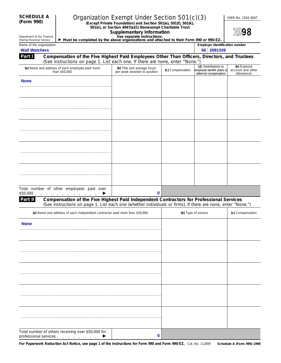| <b>SCHEDULE A</b>                                      |  |                                                                                                                                                                                                         | Organization Exempt Under Section 501(c)(3)                                                  |                  | OMB No. 1545-0047                                                         |                                                |  |
|--------------------------------------------------------|--|---------------------------------------------------------------------------------------------------------------------------------------------------------------------------------------------------------|----------------------------------------------------------------------------------------------|------------------|---------------------------------------------------------------------------|------------------------------------------------|--|
| (Form 990)                                             |  |                                                                                                                                                                                                         | (Except Private Foundation) and Section 501(e), 501(f), 501(k),                              |                  |                                                                           |                                                |  |
|                                                        |  |                                                                                                                                                                                                         | 501(n), or Section 4947(a)(1) Nonexempt Charitable Trust<br><b>Supplementary Information</b> |                  |                                                                           | 1998                                           |  |
| Department of the Treasury<br>Internal Revenue Service |  | See separate instructions.<br>Must be completed by the above organizations and attached to their Form 990 or 990-EZ.                                                                                    |                                                                                              |                  |                                                                           |                                                |  |
| Name of the organization<br><b>Wall Watchers</b>       |  |                                                                                                                                                                                                         |                                                                                              |                  | <b>Employer identification number</b><br>56 2091339                       |                                                |  |
| Part I                                                 |  | Compensation of the Five Highest Paid Employees Other Than Officers, Directors, and Trustees<br>(See instructions on page 1. List each one. If there are none, enter "None.")                           |                                                                                              |                  |                                                                           |                                                |  |
|                                                        |  | (a) Name and address of each employee paid more<br>than \$50,000                                                                                                                                        | (b) Title and average hours<br>per week devoted to position                                  | (c) Compensation | (d) Contributions to<br>employee benefit plans &<br>deferred compensation | (e) Expense<br>account and other<br>allowances |  |
| <b>None</b>                                            |  |                                                                                                                                                                                                         |                                                                                              |                  |                                                                           |                                                |  |
|                                                        |  |                                                                                                                                                                                                         |                                                                                              |                  |                                                                           |                                                |  |
|                                                        |  |                                                                                                                                                                                                         |                                                                                              |                  |                                                                           |                                                |  |
|                                                        |  |                                                                                                                                                                                                         |                                                                                              |                  |                                                                           |                                                |  |
|                                                        |  |                                                                                                                                                                                                         |                                                                                              |                  |                                                                           |                                                |  |
|                                                        |  |                                                                                                                                                                                                         |                                                                                              |                  |                                                                           |                                                |  |
|                                                        |  |                                                                                                                                                                                                         |                                                                                              |                  |                                                                           |                                                |  |
|                                                        |  |                                                                                                                                                                                                         |                                                                                              |                  |                                                                           |                                                |  |
|                                                        |  |                                                                                                                                                                                                         |                                                                                              |                  |                                                                           |                                                |  |
|                                                        |  |                                                                                                                                                                                                         |                                                                                              |                  |                                                                           |                                                |  |
|                                                        |  | Total number of other employees paid over<br>$$50,000$<br>▶                                                                                                                                             | 0                                                                                            |                  |                                                                           |                                                |  |
| Part II                                                |  | Compensation of the Five Highest Paid Independent Contractors for Professional Services<br>(See instructions on page 1. List each one (whether individuals or firms). If there are none, enter "None.") |                                                                                              |                  |                                                                           |                                                |  |
|                                                        |  | (a) Name and address of each independent contractor paid more than \$50,000                                                                                                                             |                                                                                              |                  | (b) Type of service                                                       | (c) Compensation                               |  |
| <b>None</b>                                            |  |                                                                                                                                                                                                         |                                                                                              |                  |                                                                           |                                                |  |
|                                                        |  |                                                                                                                                                                                                         |                                                                                              |                  |                                                                           |                                                |  |
|                                                        |  |                                                                                                                                                                                                         |                                                                                              |                  |                                                                           |                                                |  |
|                                                        |  |                                                                                                                                                                                                         |                                                                                              |                  |                                                                           |                                                |  |
|                                                        |  |                                                                                                                                                                                                         |                                                                                              |                  |                                                                           |                                                |  |
|                                                        |  |                                                                                                                                                                                                         |                                                                                              |                  |                                                                           |                                                |  |
|                                                        |  |                                                                                                                                                                                                         |                                                                                              |                  |                                                                           |                                                |  |
|                                                        |  |                                                                                                                                                                                                         |                                                                                              |                  |                                                                           |                                                |  |
|                                                        |  |                                                                                                                                                                                                         |                                                                                              |                  |                                                                           |                                                |  |
|                                                        |  |                                                                                                                                                                                                         |                                                                                              |                  |                                                                           |                                                |  |
|                                                        |  | Total number of others receiving over \$50,000 for<br>professional services expansion and the control of the control of the control of the control of the control of                                    | 0                                                                                            |                  |                                                                           |                                                |  |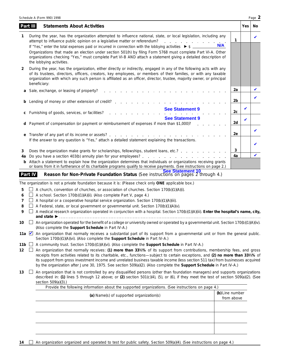|             |         | Schedule A (Form 990) 1998                                                                                                                                                                                                                                                                                                                                                                                                                                                                                                                                                                                                              |                               |     | Page 2 |
|-------------|---------|-----------------------------------------------------------------------------------------------------------------------------------------------------------------------------------------------------------------------------------------------------------------------------------------------------------------------------------------------------------------------------------------------------------------------------------------------------------------------------------------------------------------------------------------------------------------------------------------------------------------------------------------|-------------------------------|-----|--------|
| Part III    |         | <b>Statements About Activities</b>                                                                                                                                                                                                                                                                                                                                                                                                                                                                                                                                                                                                      |                               | Yes | No     |
| 1           |         | During the year, has the organization attempted to influence national, state, or local legislation, including any<br>attempt to influence public opinion on a legislative matter or referendum?                                                                                                                                                                                                                                                                                                                                                                                                                                         | 1<br><b>N/A</b>               |     | V      |
|             |         | If "Yes," enter the total expenses paid or incurred in connection with the lobbying activities ▶ \$ ___<br>Organizations that made an election under section 501(h) by filing Form 5768 must complete Part VI-A. Other<br>organizations checking "Yes," must complete Part VI-B AND attach a statement giving a detailed description of<br>the lobbying activities.                                                                                                                                                                                                                                                                     |                               |     |        |
| 2           |         | During the year, has the organization, either directly or indirectly, engaged in any of the following acts with any<br>of its trustees, directors, officers, creators, key employees, or members of their families, or with any taxable<br>organization with which any such person is affiliated as an officer, director, trustee, majority owner, or principal<br>beneficiary:                                                                                                                                                                                                                                                         |                               |     |        |
|             |         | Sale, exchange, or leasing of property?<br>the contract of the contract of the                                                                                                                                                                                                                                                                                                                                                                                                                                                                                                                                                          | 2a                            |     |        |
|             |         | Lending of money or other extension of credit?                                                                                                                                                                                                                                                                                                                                                                                                                                                                                                                                                                                          | 2b                            |     | ✔      |
| с           |         | <b>See Statement 9</b><br>Furnishing of goods, services, or facilities?                                                                                                                                                                                                                                                                                                                                                                                                                                                                                                                                                                 | 2с                            | V   |        |
|             |         | <b>See Statement 9</b><br>Payment of compensation (or payment or reimbursement of expenses if more than \$1,000)?                                                                                                                                                                                                                                                                                                                                                                                                                                                                                                                       | 2d                            | V   |        |
| е           |         |                                                                                                                                                                                                                                                                                                                                                                                                                                                                                                                                                                                                                                         | 2e                            |     | V      |
|             |         | If the answer to any question is "Yes," attach a detailed statement explaining the transactions.                                                                                                                                                                                                                                                                                                                                                                                                                                                                                                                                        |                               |     |        |
| 3<br>4a     |         | Does the organization make grants for scholarships, fellowships, student loans, etc.?                                                                                                                                                                                                                                                                                                                                                                                                                                                                                                                                                   | 3<br>4a                       |     |        |
|             |         | Attach a statement to explain how the organization determines that individuals or organizations receiving grants<br>or loans from it in furtherance of its charitable programs qualify to receive payments. (See instructions on page 2.)                                                                                                                                                                                                                                                                                                                                                                                               |                               |     |        |
|             | Part IV | <b>See Statement 10</b><br>Reason for Non-Private Foundation Status (See instructions on pages 2 through 4.)                                                                                                                                                                                                                                                                                                                                                                                                                                                                                                                            |                               |     |        |
|             |         | The organization is not a private foundation because it is: (Please check only ONE applicable box.)                                                                                                                                                                                                                                                                                                                                                                                                                                                                                                                                     |                               |     |        |
| 5<br>6      |         | A church, convention of churches, or association of churches. Section 170(b)(1)(A)(i).<br>A school. Section 170(b)(1)(A)(ii). (Also complete Part V, page 4.)                                                                                                                                                                                                                                                                                                                                                                                                                                                                           |                               |     |        |
| 7           |         | A hospital or a cooperative hospital service organization. Section 170(b)(1)(A)(iii).                                                                                                                                                                                                                                                                                                                                                                                                                                                                                                                                                   |                               |     |        |
| 8<br>9      |         | A Federal, state, or local government or governmental unit. Section 170(b)(1)(A)(v).<br>A medical research organization operated in conjunction with a hospital. Section 170(b)(1)(A)(iii). Enter the hospital's name, city,                                                                                                                                                                                                                                                                                                                                                                                                            |                               |     |        |
|             |         |                                                                                                                                                                                                                                                                                                                                                                                                                                                                                                                                                                                                                                         |                               |     |        |
| 10          |         | $\Box$ An organization operated for the benefit of a college or university owned or operated by a governmental unit. Section 170(b)(1)(A)(iv).<br>(Also complete the Support Schedule in Part IV-A.)                                                                                                                                                                                                                                                                                                                                                                                                                                    |                               |     |        |
|             |         | 11a An organization that normally receives a substantial part of its support from a governmental unit or from the general public.<br>Section 170(b)(1)(A)(vi). (Also complete the Support Schedule in Part IV-A.)                                                                                                                                                                                                                                                                                                                                                                                                                       |                               |     |        |
| 11b ∐<br>12 |         | A community trust. Section 170(b)(1)(A)(vi). (Also complete the Support Schedule in Part IV-A.)<br>An organization that normally receives: (1) more than 331/ <sub>3</sub> % of its support from contributions, membership fees, and gross<br>receipts from activities related to its charitable, etc., functions-subject to certain exceptions, and (2) no more than 331/3% of<br>its support from gross investment income and unrelated business taxable income (less section 511 tax) from businesses acquired<br>by the organization after June 30, 1975. See section 509(a)(2). (Also complete the Support Schedule in Part IV-A.) |                               |     |        |
| 13          |         | An organization that is not controlled by any disqualified persons (other than foundation managers) and supports organizations<br>described in: (1) lines 5 through 12 above; or (2) section 501(c)(4), (5), or (6), if they meet the test of section 509(a)(2). (See<br>section 509(a)(3).)                                                                                                                                                                                                                                                                                                                                            |                               |     |        |
|             |         | Provide the following information about the supported organizations. (See instructions on page 4.)                                                                                                                                                                                                                                                                                                                                                                                                                                                                                                                                      |                               |     |        |
|             |         | (a) Name(s) of supported organization(s)                                                                                                                                                                                                                                                                                                                                                                                                                                                                                                                                                                                                | (b) Line number<br>from above |     |        |
|             |         |                                                                                                                                                                                                                                                                                                                                                                                                                                                                                                                                                                                                                                         |                               |     |        |
|             |         |                                                                                                                                                                                                                                                                                                                                                                                                                                                                                                                                                                                                                                         |                               |     |        |
|             |         |                                                                                                                                                                                                                                                                                                                                                                                                                                                                                                                                                                                                                                         |                               |     |        |

14 **An organization organized and operated to test for public safety. Section 509(a)(4). (See instructions on page 4.)**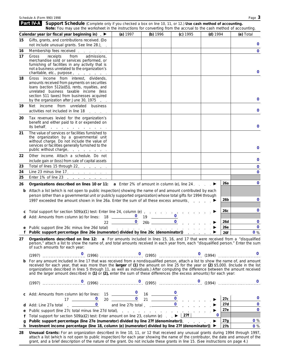|    | <b>Part IV-A</b> Support Schedule (Complete only if you checked a box on line 10, 11, or 12.) Use cash method of accounting.<br>Note: You may use the worksheet in the instructions for converting from the accrual to the cash method of accounting.                                                                                                                                                                                                                                                                                    |                               |                                   |                                   |          |              |
|----|------------------------------------------------------------------------------------------------------------------------------------------------------------------------------------------------------------------------------------------------------------------------------------------------------------------------------------------------------------------------------------------------------------------------------------------------------------------------------------------------------------------------------------------|-------------------------------|-----------------------------------|-----------------------------------|----------|--------------|
|    | Calendar year (or fiscal year beginning in) ▶                                                                                                                                                                                                                                                                                                                                                                                                                                                                                            | (a) 1997                      | (b) 1996                          | (c) 1995                          | (d) 1994 | (e) Total    |
| 15 | Gifts, grants, and contributions received. (Do                                                                                                                                                                                                                                                                                                                                                                                                                                                                                           |                               |                                   |                                   |          |              |
|    | not include unusual grants. See line 28.). .                                                                                                                                                                                                                                                                                                                                                                                                                                                                                             |                               |                                   |                                   |          | 0            |
| 16 | Membership fees received                                                                                                                                                                                                                                                                                                                                                                                                                                                                                                                 |                               |                                   |                                   |          | $\mathbf 0$  |
| 17 | admissions,<br>Gross<br>receipts<br>from<br>merchandise sold or services performed, or<br>furnishing of facilities in any activity that is<br>not a business unrelated to the organization's<br>charitable, etc., purpose                                                                                                                                                                                                                                                                                                                |                               |                                   |                                   |          | $\bf{0}$     |
| 18 | Gross income from interest, dividends,<br>amounts received from payments on securities<br>loans (section 512(a)(5)), rents, royalties, and<br>unrelated business taxable income (less<br>section 511 taxes) from businesses acquired<br>by the organization after June 30, 1975.                                                                                                                                                                                                                                                         |                               |                                   |                                   |          | 0            |
| 19 | Net income from unrelated business<br>activities not included in line 18                                                                                                                                                                                                                                                                                                                                                                                                                                                                 |                               |                                   |                                   |          | $\bf{0}$     |
| 20 | Tax revenues levied for the organization's<br>benefit and either paid to it or expended on<br>its behalf.                                                                                                                                                                                                                                                                                                                                                                                                                                |                               |                                   |                                   |          | $\mathbf 0$  |
| 21 | The value of services or facilities furnished to<br>the organization by a governmental unit<br>without charge. Do not include the value of<br>services or facilities generally furnished to the<br>public without charge                                                                                                                                                                                                                                                                                                                 |                               |                                   |                                   |          | 0            |
| 22 | Other income. Attach a schedule. Do not<br>include gain or (loss) from sale of capital assets                                                                                                                                                                                                                                                                                                                                                                                                                                            |                               |                                   |                                   |          | $\bf{0}$     |
| 23 | Total of lines 15 through 22.                                                                                                                                                                                                                                                                                                                                                                                                                                                                                                            |                               | the control of the control of the | the control of the control of the |          | $\mathbf 0$  |
| 24 | Line 23 minus line 17. $\ldots$                                                                                                                                                                                                                                                                                                                                                                                                                                                                                                          | the company of the company of | the control of the control of the |                                   |          | $\mathbf 0$  |
| 25 | Enter 1% of line 23 $\ldots$ $\ldots$ $\ldots$                                                                                                                                                                                                                                                                                                                                                                                                                                                                                           |                               |                                   |                                   |          |              |
| 26 | Organizations described on lines 10 or 11: $a$ Enter 2% of amount in column (e), line 24.                                                                                                                                                                                                                                                                                                                                                                                                                                                |                               |                                   |                                   | 26a      | $\mathbf 0$  |
| b  | Attach a list (which is not open to public inspection) showing the name of and amount contributed by each<br>person (other than a governmental unit or publicly supported organization) whose total gifts for 1994 through                                                                                                                                                                                                                                                                                                               |                               |                                   |                                   | 26b      | $\bf{0}$     |
|    | 1997 exceeded the amount shown in line 26a. Enter the sum of all these excess amounts. ▶                                                                                                                                                                                                                                                                                                                                                                                                                                                 |                               |                                   |                                   |          |              |
|    |                                                                                                                                                                                                                                                                                                                                                                                                                                                                                                                                          |                               |                                   |                                   | 26c      | $\mathbf 0$  |
|    | <b>c</b> Total support for section 509(a)(1) test: Enter line 24, column (e)<br><b>d</b> Add: Amounts from column (e) for lines: $\begin{array}{c c} 18 & 0 & 19 & 0 \\ & 22 & 0 & 26b & 0 \end{array}$                                                                                                                                                                                                                                                                                                                                  |                               |                                   |                                   |          |              |
|    |                                                                                                                                                                                                                                                                                                                                                                                                                                                                                                                                          |                               |                                   |                                   | 26d      | $\mathbf 0$  |
|    |                                                                                                                                                                                                                                                                                                                                                                                                                                                                                                                                          |                               |                                   |                                   | 26e      | $\mathbf 0$  |
|    | Public support percentage (line 26e (numerator) divided by line 26c (denominator)) ▶                                                                                                                                                                                                                                                                                                                                                                                                                                                     |                               |                                   |                                   | 26f      | 0%           |
| 27 | Organizations described on line 12: a For amounts included in lines 15, 16, and 17 that were received from a "disqualified"<br>person," attach a list to show the name of, and total amounts received in each year from, each "disqualified person." Enter the sum<br>of such amounts for each year:                                                                                                                                                                                                                                     |                               |                                   |                                   |          |              |
|    |                                                                                                                                                                                                                                                                                                                                                                                                                                                                                                                                          |                               |                                   |                                   |          |              |
| b  | For any amount included in line 17 that was received from a nondisqualified person, attach a list to show the name of, and amount<br>received for each year, that was more than the larger of (1) the amount on line 25 for the year or (2) \$5,000. (Include in the list<br>organizations described in lines 5 through 11, as well as individuals.) After computing the difference between the amount received<br>and the larger amount described in (1) or (2), enter the sum of these differences (the excess amounts) for each year: |                               |                                   |                                   |          |              |
|    |                                                                                                                                                                                                                                                                                                                                                                                                                                                                                                                                          |                               |                                   |                                   |          | $\mathbf{0}$ |
|    |                                                                                                                                                                                                                                                                                                                                                                                                                                                                                                                                          |                               |                                   |                                   | 27c      | $\bf{0}$     |
|    |                                                                                                                                                                                                                                                                                                                                                                                                                                                                                                                                          |                               |                                   |                                   | 27d      | $\mathbf 0$  |
| e  |                                                                                                                                                                                                                                                                                                                                                                                                                                                                                                                                          |                               |                                   |                                   | 27e      | $\mathbf 0$  |
|    | Total support for section 509(a)(2) test: Enter amount on line 23, column (e) $\therefore$ $\blacktriangleright \boxed{27f}$                                                                                                                                                                                                                                                                                                                                                                                                             |                               |                                   |                                   | $\bf{0}$ |              |
| q  | Public support percentage (line 27e (numerator) divided by line 27f (denominator)). ▶                                                                                                                                                                                                                                                                                                                                                                                                                                                    |                               |                                   |                                   | 27g      | 0%           |
| h  | Investment income percentage (line 18, column (e) (numerator) divided by line 27f (denominator)). ▶                                                                                                                                                                                                                                                                                                                                                                                                                                      |                               |                                   |                                   | 27h      | 0%           |
| 28 | Unusual Grants: For an organization described in line 10, 11, or 12 that received any unusual grants during 1994 through 1997,                                                                                                                                                                                                                                                                                                                                                                                                           |                               |                                   |                                   |          |              |

attach a list (which is not open to public inspection) for each year showing the name of the contributor, the date and amount of the grant, and a brief description of the nature of the grant. Do not include these grants in line 15. (See instructions on page 4.)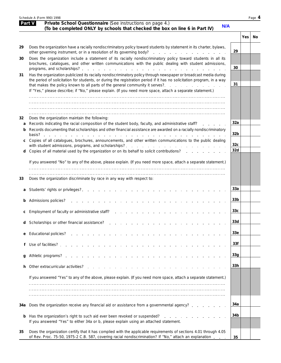|         | Schedule A (Form 990) 1998                                                                                                                                                                                                                                                                                                  |                        |       | Page 4 |
|---------|-----------------------------------------------------------------------------------------------------------------------------------------------------------------------------------------------------------------------------------------------------------------------------------------------------------------------------|------------------------|-------|--------|
|         | Part V<br>Private School Questionnaire (See instructions on page 4.)<br>N/A<br>(To be completed ONLY by schools that checked the box on line 6 in Part IV)                                                                                                                                                                  |                        |       |        |
|         |                                                                                                                                                                                                                                                                                                                             |                        | Yes I | No     |
| 29      | Does the organization have a racially nondiscriminatory policy toward students by statement in its charter, bylaws,                                                                                                                                                                                                         | 29                     |       |        |
| 30      | Does the organization include a statement of its racially nondiscriminatory policy toward students in all its<br>brochures, catalogues, and other written communications with the public dealing with student admissions,                                                                                                   | 30                     |       |        |
| 31      | Has the organization publicized its racially nondiscriminatory policy through newspaper or broadcast media during<br>the period of solicitation for students, or during the registration period if it has no solicitation program, in a way<br>that makes the policy known to all parts of the general community it serves? | 31                     |       |        |
|         | If "Yes," please describe; if "No," please explain. (If you need more space, attach a separate statement.)                                                                                                                                                                                                                  |                        |       |        |
|         |                                                                                                                                                                                                                                                                                                                             |                        |       |        |
| 32<br>а | Does the organization maintain the following:<br>Records indicating the racial composition of the student body, faculty, and administrative staff?                                                                                                                                                                          | 32a                    |       |        |
| b       | Records documenting that scholarships and other financial assistance are awarded on a racially nondiscriminatory<br><b>Contract Contract</b>                                                                                                                                                                                | 32 <sub>b</sub>        |       |        |
|         | Copies of all catalogues, brochures, announcements, and other written communications to the public dealing                                                                                                                                                                                                                  | 32 <sub>c</sub><br>32d |       |        |
| d       | Copies of all material used by the organization or on its behalf to solicit contributions?<br>If you answered "No" to any of the above, please explain. (If you need more space, attach a separate statement.)                                                                                                              |                        |       |        |
|         |                                                                                                                                                                                                                                                                                                                             |                        |       |        |
| 33      | Does the organization discriminate by race in any way with respect to:                                                                                                                                                                                                                                                      |                        |       |        |
|         |                                                                                                                                                                                                                                                                                                                             | 33a                    |       |        |
|         | <b>b</b> Admissions policies?<br>the contract of the contract of the contract of the contract of the contract of                                                                                                                                                                                                            | 33b                    |       |        |
|         | Employment of faculty or administrative staff?                                                                                                                                                                                                                                                                              | 33 <sub>c</sub>        |       |        |
| d       | Scholarships or other financial assistance?<br>the contract of the contract of the                                                                                                                                                                                                                                          | 33d<br>33e             |       |        |
| e<br>f  | Educational policies? The control<br>Use of facilities?                                                                                                                                                                                                                                                                     | 33f                    |       |        |
| g       |                                                                                                                                                                                                                                                                                                                             | 33 <sub>q</sub>        |       |        |
| h.      | Other extracurricular activities?<br>the contract of the contract of the contract of the contract of the contract of the contract of the contract of                                                                                                                                                                        | 33h                    |       |        |
|         | If you answered "Yes" to any of the above, please explain. (If you need more space, attach a separate statement.)                                                                                                                                                                                                           |                        |       |        |
|         |                                                                                                                                                                                                                                                                                                                             |                        |       |        |
|         |                                                                                                                                                                                                                                                                                                                             |                        |       |        |
|         | 34a Does the organization receive any financial aid or assistance from a governmental agency?                                                                                                                                                                                                                               | 34a                    |       |        |
|         | <b>b</b> Has the organization's right to such aid ever been revoked or suspended?<br>If you answered "Yes" to either 34a or b, please explain using an attached statement.                                                                                                                                                  | 34b                    |       |        |
| 35      | Does the organization certify that it has complied with the applicable requirements of sections 4.01 through 4.05<br>of Rev. Proc. 75-50, 1975-2 C.B. 587, covering racial nondiscrimination? If "No," attach an explanation                                                                                                | 35                     |       |        |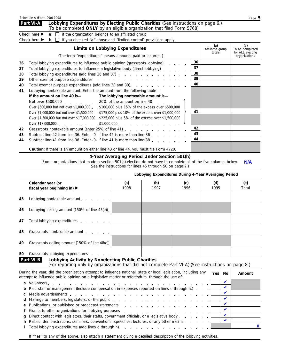| Schedule A (Form 990) 1998                                                                                                                                               |                                                                                                                                                                                                                       |                                   | Page 5                                     |  |  |  |
|--------------------------------------------------------------------------------------------------------------------------------------------------------------------------|-----------------------------------------------------------------------------------------------------------------------------------------------------------------------------------------------------------------------|-----------------------------------|--------------------------------------------|--|--|--|
| Part VI-A<br>Lobbying Expenditures by Electing Public Charities (See instructions on page 6.)<br>(To be completed ONLY by an eligible organization that filed Form 5768) |                                                                                                                                                                                                                       |                                   |                                            |  |  |  |
|                                                                                                                                                                          | Check here $\triangleright$ <b>a</b> $\square$ if the organization belongs to an affiliated group.<br>Check here $\triangleright$ <b>b</b> $\square$ if you checked "a" above and "limited control" provisions apply. |                                   |                                            |  |  |  |
|                                                                                                                                                                          | <b>Limits on Lobbying Expenditures</b>                                                                                                                                                                                | (a)<br>Affiliated group<br>totals | (b)<br>To be completed<br>for ALL electing |  |  |  |

|    | (The term "expenditures" means amounts paid or incurred.)                                                              |    | totals | for ALL electing<br>organizations |
|----|------------------------------------------------------------------------------------------------------------------------|----|--------|-----------------------------------|
| 36 | Total lobbying expenditures to influence public opinion (grassroots lobbying)                                          | 36 |        |                                   |
| 37 | Total lobbying expenditures to influence a legislative body (direct lobbying)                                          | 37 |        |                                   |
| 38 | Total lobbying expenditures (add lines 36 and 37)                                                                      | 38 |        |                                   |
| 39 |                                                                                                                        | 39 |        |                                   |
| 40 | Total exempt purpose expenditures (add lines 38 and 39). The annual exempt purpose expenditures (add lines 38 and 39). | 40 |        |                                   |
| 41 | Lobbying nontaxable amount. Enter the amount from the following table-                                                 |    |        |                                   |
|    | If the amount on line 40 is - The lobbying nontaxable amount is -                                                      |    |        |                                   |
|    | Not over \$500,000 $\ldots$ , $\ldots$ , 20% of the amount on line 40, $\ldots$ , $\ldots$                             |    |        |                                   |
|    | Over \$500,000 but not over \$1,000,000 . \$100,000 plus 15% of the excess over \$500,000                              |    |        |                                   |
|    | Over \$1,000,000 but not over \$1,500,000 \$175,000 plus 10% of the excess over \$1,000,000                            | 41 |        |                                   |
|    | Over \$1,500,000 but not over \$17,000,000 \$225,000 plus 5% of the excess over \$1,500,000                            |    |        |                                   |
|    |                                                                                                                        |    |        |                                   |
| 42 | Grassroots nontaxable amount (enter 25% of line 41)                                                                    | 42 |        |                                   |
| 43 | Subtract line 42 from line 36. Enter -0- if line 42 is more than line 36 [11, 11, 11, 11, 11]                          | 43 |        |                                   |
| 44 | Subtract line 41 from line 38. Enter -0- if line 41 is more than line 38                                               | 44 |        |                                   |
|    | <b>Caution:</b> If there is an amount on either line 43 or line 44, you must file Form 4720.                           |    |        |                                   |

## **4-Year Averaging Period Under Section 501(h)**

(Some organizations that made a section 501(h) election do not have to complete all of the five columns below. See the instructions for lines 45 through 50 on page 7.) **N/A**

|    |                                                                                                                                                                                                                               | Lobbying Expenditures During 4-Year Averaging Period |                         |             |  |             |              |  |
|----|-------------------------------------------------------------------------------------------------------------------------------------------------------------------------------------------------------------------------------|------------------------------------------------------|-------------------------|-------------|--|-------------|--------------|--|
|    | Calendar year (or<br>fiscal year beginning in) $\blacktriangleright$                                                                                                                                                          | (a)<br>1998                                          | (b)<br>1997             | (c)<br>1996 |  | (d)<br>1995 | (e)<br>Total |  |
| 45 | Lobbying nontaxable amount.                                                                                                                                                                                                   |                                                      |                         |             |  |             |              |  |
| 46 | Lobbying ceiling amount (150% of line 45(e)).                                                                                                                                                                                 |                                                      |                         |             |  |             |              |  |
| 47 | Total lobbying expenditures                                                                                                                                                                                                   |                                                      |                         |             |  |             |              |  |
| 48 | Grassroots nontaxable amount                                                                                                                                                                                                  |                                                      |                         |             |  |             |              |  |
| 49 | Grassroots ceiling amount (150% of line 48(e))                                                                                                                                                                                |                                                      |                         |             |  |             |              |  |
| 50 | Grassroots lobbying expenditures                                                                                                                                                                                              |                                                      |                         |             |  |             |              |  |
|    | Part VI-B<br>Lobbying Activity by Nonelecting Public Charities<br>(For reporting only by organizations that did not complete Part VI-A) (See instructions on page 8.)                                                         |                                                      |                         |             |  |             |              |  |
|    | During the year, did the organization attempt to influence national, state or local legislation, including any<br>attempt to influence public opinion on a legislative matter or referendum, through the use of:              |                                                      | <b>Yes</b><br><b>No</b> | Amount      |  |             |              |  |
| a  | Volunteers, respectively, and a series of the contract of the contract of the contract of the contract of the contract of the contract of the contract of the contract of the contract of the contract of the contract of the |                                                      | $\mathbf v$             |             |  |             |              |  |
|    | Paid staff or management (Include compensation in expenses reported on lines c through h.).                                                                                                                                   |                                                      | ✔                       |             |  |             |              |  |
|    |                                                                                                                                                                                                                               |                                                      |                         |             |  | ✔           |              |  |

| <b>d</b> Mailings to members, legislators, or the public $\cdots$ , $\cdots$ , $\cdots$ , $\cdots$ , $\cdots$ , $\cdots$ , $\cdots$ |  |  |
|-------------------------------------------------------------------------------------------------------------------------------------|--|--|
| e Publications, or published or broadcast statements entries of the statements of the statements of $\Box$                          |  |  |
|                                                                                                                                     |  |  |
| g Direct contact with legislators, their staffs, government officials, or a legislative body $\Box$                                 |  |  |
|                                                                                                                                     |  |  |
|                                                                                                                                     |  |  |

If "Yes" to any of the above, also attach a statement giving a detailed description of the lobbying activities.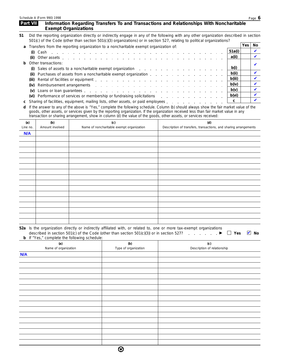|                 |                                                            | <b>Exempt Organizations</b> |                                                                                                   |                                                                                                                                                                                                                                                                  |     |                   |
|-----------------|------------------------------------------------------------|-----------------------------|---------------------------------------------------------------------------------------------------|------------------------------------------------------------------------------------------------------------------------------------------------------------------------------------------------------------------------------------------------------------------|-----|-------------------|
| 51              |                                                            |                             |                                                                                                   | Did the reporting organization directly or indirectly engage in any of the following with any other organization described in section<br>501(c) of the Code (other than section 501(c)(3) organizations) or in section 527, relating to political organizations? |     |                   |
| a               |                                                            |                             | Transfers from the reporting organization to a noncharitable exempt organization of:              |                                                                                                                                                                                                                                                                  | Yes | No                |
|                 | Cash<br>(i)                                                |                             | المتعاونة والمتعاونة والمتعاونة والمتعاونة والمتعاونة والمتعاونة والمتعاونة والمتعاونة والمتعاونة | 51a(i)                                                                                                                                                                                                                                                           |     | V                 |
|                 | (ii)                                                       |                             |                                                                                                   | a(ii)                                                                                                                                                                                                                                                            |     | ✔                 |
| b               | Other transactions:                                        |                             |                                                                                                   |                                                                                                                                                                                                                                                                  |     | V                 |
|                 | (i)                                                        |                             |                                                                                                   | b(i)<br>Sales of assets to a noncharitable exempt organization enterstable resources of assets to a noncharitable exempt organization enterstable resources of a set of a set of a set of a set of a set of a set of a set of a set of                           |     |                   |
|                 | (ii)                                                       |                             |                                                                                                   | b(ii)<br>Purchases of assets from a noncharitable exempt organization entity and a set of the set of the set of the set of the set of the set of the set of the set of the set of the set of the set of the set of the set of the set o                          |     | V                 |
|                 | (iii)                                                      |                             |                                                                                                   | b(iii)                                                                                                                                                                                                                                                           |     | V                 |
|                 | (iv)                                                       |                             |                                                                                                   | b(iv)                                                                                                                                                                                                                                                            |     | V                 |
|                 | (v)                                                        |                             |                                                                                                   | b(v)                                                                                                                                                                                                                                                             |     | V                 |
|                 |                                                            |                             |                                                                                                   | b(vi)<br>(vi) Performance of services or membership or fundraising solicitations [11] Performance of services or membership or fundraising solicitations                                                                                                         |     |                   |
| С               |                                                            |                             |                                                                                                   | C<br>Sharing of facilities, equipment, mailing lists, other assets, or paid employees entitled as a set of the state of the state of the state of the state of the state of the state of the state of the state of the state of the                              |     |                   |
| d               |                                                            |                             |                                                                                                   | If the answer to any of the above is "Yes," complete the following schedule. Column (b) should always show the fair market value of the                                                                                                                          |     |                   |
|                 |                                                            |                             |                                                                                                   | goods, other assets, or services given by the reporting organization. If the organization received less than fair market value in any                                                                                                                            |     |                   |
|                 |                                                            |                             |                                                                                                   | transaction or sharing arrangement, show in column (d) the value of the goods, other assets, or services received:                                                                                                                                               |     |                   |
| (a)<br>Line no. | (b)<br>Amount involved                                     |                             | (c)<br>Name of noncharitable exempt organization                                                  | (d)<br>Description of transfers, transactions, and sharing arrangements                                                                                                                                                                                          |     |                   |
| <b>N/A</b>      |                                                            |                             |                                                                                                   |                                                                                                                                                                                                                                                                  |     |                   |
|                 |                                                            |                             |                                                                                                   |                                                                                                                                                                                                                                                                  |     |                   |
|                 |                                                            |                             |                                                                                                   |                                                                                                                                                                                                                                                                  |     |                   |
|                 |                                                            |                             |                                                                                                   |                                                                                                                                                                                                                                                                  |     |                   |
|                 |                                                            |                             |                                                                                                   |                                                                                                                                                                                                                                                                  |     |                   |
|                 |                                                            |                             |                                                                                                   |                                                                                                                                                                                                                                                                  |     |                   |
|                 |                                                            |                             |                                                                                                   |                                                                                                                                                                                                                                                                  |     |                   |
|                 |                                                            |                             |                                                                                                   |                                                                                                                                                                                                                                                                  |     |                   |
|                 |                                                            |                             |                                                                                                   |                                                                                                                                                                                                                                                                  |     |                   |
|                 |                                                            |                             |                                                                                                   |                                                                                                                                                                                                                                                                  |     |                   |
|                 |                                                            |                             |                                                                                                   |                                                                                                                                                                                                                                                                  |     |                   |
|                 |                                                            |                             |                                                                                                   |                                                                                                                                                                                                                                                                  |     |                   |
|                 |                                                            |                             |                                                                                                   |                                                                                                                                                                                                                                                                  |     |                   |
|                 |                                                            |                             |                                                                                                   |                                                                                                                                                                                                                                                                  |     |                   |
|                 |                                                            |                             |                                                                                                   |                                                                                                                                                                                                                                                                  |     |                   |
|                 |                                                            |                             |                                                                                                   |                                                                                                                                                                                                                                                                  |     |                   |
|                 | <b>b</b> If "Yes," complete the following schedule:<br>(a) |                             | (b)                                                                                               | 52a Is the organization directly or indirectly affiliated with, or related to, one or more tax-exempt organizations<br>described in section 501(c) of the Code (other than section 501(c)(3)) or in section 527? $\blacktriangleright \square$ Yes<br>(c)        |     | $\blacksquare$ No |
|                 | Name of organization                                       |                             | Type of organization                                                                              | Description of relationship                                                                                                                                                                                                                                      |     |                   |
| <b>N/A</b>      |                                                            |                             |                                                                                                   |                                                                                                                                                                                                                                                                  |     |                   |
|                 |                                                            |                             |                                                                                                   |                                                                                                                                                                                                                                                                  |     |                   |
|                 |                                                            |                             |                                                                                                   |                                                                                                                                                                                                                                                                  |     |                   |
|                 |                                                            |                             |                                                                                                   |                                                                                                                                                                                                                                                                  |     |                   |
|                 |                                                            |                             |                                                                                                   |                                                                                                                                                                                                                                                                  |     |                   |
|                 |                                                            |                             |                                                                                                   |                                                                                                                                                                                                                                                                  |     |                   |
|                 |                                                            |                             |                                                                                                   |                                                                                                                                                                                                                                                                  |     |                   |
|                 |                                                            |                             |                                                                                                   |                                                                                                                                                                                                                                                                  |     |                   |
|                 |                                                            |                             |                                                                                                   |                                                                                                                                                                                                                                                                  |     |                   |
|                 |                                                            |                             |                                                                                                   |                                                                                                                                                                                                                                                                  |     |                   |
|                 |                                                            |                             |                                                                                                   |                                                                                                                                                                                                                                                                  |     |                   |
|                 |                                                            |                             |                                                                                                   |                                                                                                                                                                                                                                                                  |     |                   |
|                 |                                                            |                             |                                                                                                   |                                                                                                                                                                                                                                                                  |     |                   |

**Information Regarding Transfers To and Transactions and Relationships With Noncharitable**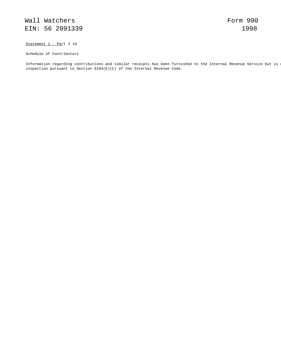Statement 1 - Part I 1d

Schedule of Contributors

Information regarding contributions and similar receipts has been furnished to the Internal Revenue Service but is n inspection pursuant to Section 6104(E)(C) of the Internal Revenue Code.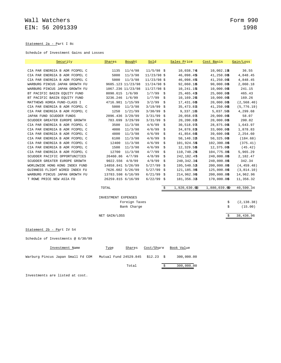### Statement 2a - Part I 8c

Schedule of Investment Gains and Losses

| Security                       | Shares              | Bought            | Sold          |    | Sales Price    | Cost Basis     | Gain/Loss   |
|--------------------------------|---------------------|-------------------|---------------|----|----------------|----------------|-------------|
|                                |                     |                   |               |    |                |                |             |
| CIA PAR ENERGIA B ADR FCOPEL C | 1135                | 11/4/98           | $11/5/98$ \$  |    | 10,038.746     | 10,002.1%      | 36.55       |
| CIA PAR ENERGIA B ADR FCOPEL C | 5000                | 11/3/98           | $11/23/98$ \$ |    | 46,098.45\$    | 41,250.00\$    | 4,848.45    |
| CIA PAR ENERGIA B ADR FCOPEL C | 5000                | 11/3/98           | $11/23/98$ \$ |    | 46,098.45\$    | 41,250.00\$    | 4,848.45    |
| WARBURG PINCUS JAPAN GROWTH FU |                     | 9605.123 11/23/98 | $11/24/98$ \$ |    | 92,060.186     | 90,000.00\$    | 2,060.18    |
| WARBURG PINCUS JAPAN GROWTH FU |                     | 1067.236 11/23/98 | $11/27/98$ \$ |    | 10,241.15%     | 10,000.00\$    | 241.15      |
| BT PACIFIC BASIN EQUITY FUND   | 8090.615 1/6/99     |                   | $1/7/99$ \$   |    | 25, 465. 43    | 25,000.00\$    | 465.43      |
| BT PACIFIC BASIN EQUITY FUND   | 3236.246 1/6/99     |                   | 1/7/99        | \$ | 10,169.26      | 10,000.00\$    | 169.26      |
| MATTHEWS KOREA FUND-CLASS I    |                     | 4716.981 1/15/99  | 3/2/99        | Ŝ. | 17,431.60\$    | 20,000.00\$    | (2, 568.40) |
| CIA PAR ENERGIA B ADR FCOPEL C | 5000                | 11/3/98           | 3/19/99       | \$ | 35,473.8\$     | 41,250.00\$    | (5, 776.19) |
| CIA PAR ENERGIA B ADR FCOPEL C | 1250                | 1/21/99           | $3/30/99$ \$  |    | 9,337.18\$     | $5,037.50$ \$  | 4,299.68    |
| JAPAN FUND SCUDDER FUNDS       |                     | 2096.436 3/29/99  | $3/31/99$ \$  |    | 20,058.07\$    | 20,000.00\$    | 58.07       |
| SCUDDER GREATER EUROPE GROWTH  |                     | 783.699 3/29/99   | $3/31/99$ \$  |    | 20,200.02\$    | 20,000.00\$    | 200.02      |
| CIA PAR ENERGIA B ADR FCOPEL C | 3500                | 11/3/98           | 4/6/99        | \$ | 30,518.97\$    | 28,875.00\$    | 1,643.97    |
| CIA PAR ENERGIA B ADR FCOPEL C | 4000                | 11/3/98           | 4/6/99        | \$ | 34,878.83\$    | 33,000.00\$    | 1,878.83    |
| CIA PAR ENERGIA B ADR FCOPEL C | 4800                | 11/3/98           | 4/6/99        | \$ | 41,854.60\$    | 39,600.00\$    | 2,254.60    |
| CIA PAR ENERGIA B ADR FCOPEL C | 6100                | 11/3/98           | 4/6/99        | Ŝ. | 50,140.32\$    | 50,325.00\$    | (184.68)    |
| CIA PAR ENERGIA B ADR FCOPEL C | 12400               | 11/3/98           | 4/6/99        | Ŝ. | 101,924.5\$    | $102,300.0$ \$ | (375.41)    |
| CIA PAR ENERGIA B ADR FCOPEL C | 1500                | 11/3/98           | 4/6/99        | \$ | 12,329.58      | 12,375.00\$    | (45.42)     |
| CIA PAR ENERGIA B ADR FCOPEL C | 12700               | 11/3/98           | 4/7/99        | \$ | 110,740.2\$    | 104,775.0\$    | 5,965.29    |
| SCUDDER PACIFIC OPPORTUNITIES  |                     | 26460.86 4/7/99   | 4/8/99        | \$ | 242,182.43     | 240,000.0\$    | 2,182.47    |
| SCUDDER GREATER EUROPE GROWTH  |                     | 9022.556 4/8/99   | 4/9/99        | Ŝ. | 240,342.346    | 240,000.0\$    | 342.34      |
| WORLDWIDE HONG KONG INDEX FUND | 14858.841 5/26/99   |                   | $5/27/99$ \$  |    | 195,540.5\$    | $200,000.0$ \$ | (4, 459.48) |
| GUINNESS FLIGHT WIRED INDEX FU |                     | 7626.602 5/26/99  | $5/27/99$ \$  |    | 121,185.9\$    | 125,000.0\$    | (3, 814.10) |
| WARBURG PINCUS JAPAN GROWTH FU | 13783.598 6/16/99   |                   | $6/21/99$ \$  |    | 214,962.96     | $200,000.0$ \$ | 14,962.96   |
| T ROWE PRICE NEW ASIA FD       | 26259.815 6/16/99   |                   | $6/22/99$ \$  |    | 181, 356.3\$   | 170,000.0\$    | 11,356.32   |
|                                | TOTAL               |                   |               |    | 1,920,630.0\$3 | 1,880,039.699  | 40,590.34   |
|                                | INVESTMENT EXPENSES |                   |               |    |                |                |             |
|                                |                     | Foreign Taxes     |               |    |                | \$             | (2, 138.38) |
|                                |                     | Bank Charge       |               |    |                | \$             | (15.00)     |
|                                |                     |                   |               |    |                |                |             |
|                                | NET GAIN/LOSS       |                   |               |    |                |                | 38,436.96   |
|                                |                     |                   |               |    |                |                |             |
| Statement 2b - Part IV 54      |                     |                   |               |    |                |                |             |

Schedule of Investments @ 6/30/99

|                                   | Investment Name |  | Type | Shares                           | Cost/Share | Book Value |
|-----------------------------------|-----------------|--|------|----------------------------------|------------|------------|
| Warburg Pincus Japan Small Fd COM |                 |  |      | Mutual Fund 24529.845 \$12.23 \$ |            | 300,000.00 |
|                                   |                 |  |      | Total                            |            | 300,000.00 |

Investments are listed at cost.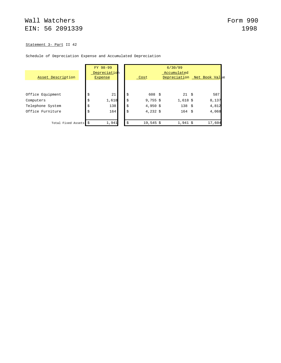### Statement 3- Part II 42

### Schedule of Depreciation Expense and Accumulated Depreciation

| Asset Description     | FY 98-99<br>Depreciation<br>Expense | 6/30/99<br>Accumulated<br>Depreciation Net Book Value<br>Cost |                   |  |            |  |        |
|-----------------------|-------------------------------------|---------------------------------------------------------------|-------------------|--|------------|--|--------|
|                       |                                     |                                                               |                   |  |            |  |        |
| Office Equipment      | \$<br>21                            | \$                                                            | $608 \frac{1}{5}$ |  | 21S        |  | 587    |
| Computers             | \$<br>1,618                         | \$                                                            | $9,755$ \$        |  | $1,618$ \$ |  | 8,137  |
| Telephone System      | \$<br>138                           | \$                                                            | $4,950$ \$        |  | 138S       |  | 4,812  |
| Office Furniture      | \$<br>164                           | \$                                                            | 4,232 \$          |  | 164S       |  | 4,068  |
| Total Fixed Assets \$ | 1,941                               | \$                                                            | $19,545$ \$       |  | $1,941$ \$ |  | 17,604 |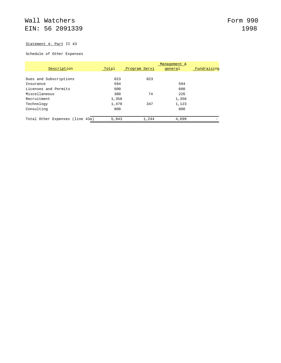# Statement 4- Part II 43

### Schedule of Other Expenses

|                                 |       |               | Management & |             |
|---------------------------------|-------|---------------|--------------|-------------|
| Description                     | Total | Program Servi | general      | Fundraising |
|                                 |       |               |              |             |
| Dues and Subscriptions          | 823   | 823           |              |             |
| Insurance                       | 594   |               | 594          |             |
| Licenses and Permits            | 600   |               | 600          |             |
| Miscellaneous                   | 300   | 74            | 226          |             |
| Recruitment                     | 1,356 |               | 1,356        |             |
| Technology                      | 1,470 | 347           | 1,123        |             |
| Consulting                      | 800   |               | 800          |             |
|                                 |       |               |              |             |
| Total Other Expenses (line 43a) | 5,943 | 1,244         | 4,699        |             |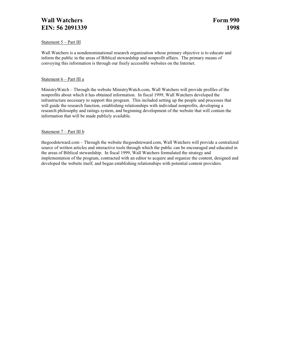# **Wall Watchers Form 990 EIN:** 56 2091339 1998

### Statement 5 – Part III

Wall Watchers is a nondenominational research organization whose primary objective is to educate and inform the public in the areas of Biblical stewardship and nonprofit affairs. The primary means of conveying this information is through our freely accessible websites on the Internet.

### Statement 6 – Part III a

MinistryWatch – Through the website MinistryWatch.com, Wall Watchers will provide profiles of the nonprofits about which it has obtained information. In fiscal 1999, Wall Watchers developed the infrastructure necessary to support this program. This included setting up the people and processes that will guide the research function, establishing relationships with individual nonprofits, developing a research philosophy and ratings system, and beginning development of the website that will contain the information that will be made publicly available.

### Statement 7 – Part III b

thegoodsteward.com – Through the website thegoodsteward.com, Wall Watchers will provide a centralized source of written articles and interactive tools through which the public can be encouraged and educated in the areas of Biblical stewardship. In fiscal 1999, Wall Watchers formulated the strategy and implementation of the program, contracted with an editor to acquire and organize the content, designed and developed the website itself, and began establishing relationships with potential content providers.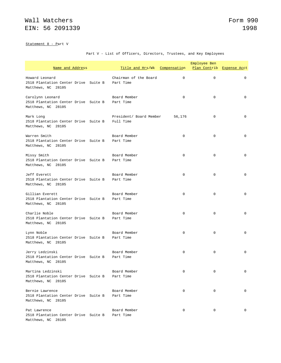Statement 8 - Part V

Part V - List of Officers, Directors, Trustees, and Key Employees

| Name and Address                                                                         | Title and Hrs/Wk Compensation        |             | Employee Ben<br>Plan Contrib Expense Acct |             |
|------------------------------------------------------------------------------------------|--------------------------------------|-------------|-------------------------------------------|-------------|
| Howard Leonard<br>2518 Plantation Center Drive Suite B<br>Matthews, NC 28105             | Chairman of the Board<br>Part Time   | 0           | $\mathbf 0$                               | $\mathbf 0$ |
| Carolynn Leonard<br>2518 Plantation Center Drive Suite B Part Time<br>Matthews, NC 28105 | Board Member                         | $\mathbf 0$ | $\mathbf 0$                               | 0           |
| Mark Long<br>2518 Plantation Center Drive Suite B<br>Matthews, NC 28105                  | President/ Board Member<br>Full Time | 56,176      | $\mathbf 0$                               | $\mathbf 0$ |
| Warren Smith<br>2518 Plantation Center Drive Suite B Part Time<br>Matthews, NC 28105     | Board Member                         | $\mathbf 0$ | $\mathbf 0$                               | 0           |
| Missy Smith<br>2518 Plantation Center Drive Suite B<br>Matthews, NC 28105                | Board Member<br>Part Time            | 0           | $\mathbf 0$                               | $\mathbf 0$ |
| Jeff Everett<br>2518 Plantation Center Drive Suite B<br>Matthews, NC 28105               | Board Member<br>Part Time            | 0           | $\mathbf 0$                               | 0           |
| Gillian Everett<br>2518 Plantation Center Drive Suite B<br>Matthews, NC 28105            | Board Member<br>Part Time            | $\mathbf 0$ | $\mathbf 0$                               | $\mathbf 0$ |
| Charlie Noble<br>2518 Plantation Center Drive Suite B<br>Matthews, NC 28105              | Board Member<br>Part Time            | $\mathbf 0$ | $\mathbf 0$                               | $\Omega$    |
| Lynn Noble<br>2518 Plantation Center Drive Suite B<br>Matthews, NC 28105                 | Board Member<br>Part Time            | 0           | $\mathbf 0$                               | $\mathbf 0$ |
| Jerry Ledzinski<br>2518 Plantation Center Drive Suite B Part Time<br>Matthews, NC 28105  | Board Member                         | 0           | $\mathbf 0$                               | 0           |
| Martina Ledzinski<br>2518 Plantation Center Drive Suite B<br>Matthews, NC 28105          | Board Member<br>Part Time            | 0           | 0                                         | 0           |
| Bernie Lawrence<br>2518 Plantation Center Drive Suite B<br>Matthews, NC 28105            | Board Member<br>Part Time            | 0           | 0                                         | 0           |
| Pat Lawrence<br>2518 Plantation Center Drive Suite B<br>Matthews, NC 28105               | Board Member<br>Part Time            | $\mathbf 0$ | $\mathbf 0$                               | $\mathbf 0$ |